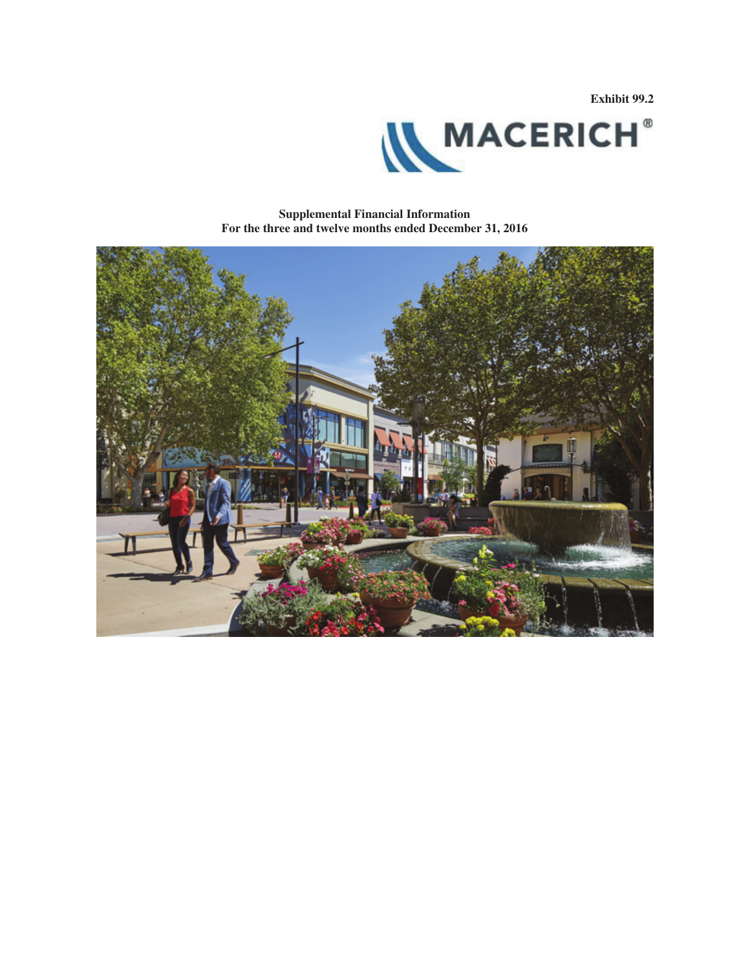**Exhibit 99.2**



**Supplemental Financial Information For the three and twelve months ended December 31, 2016**

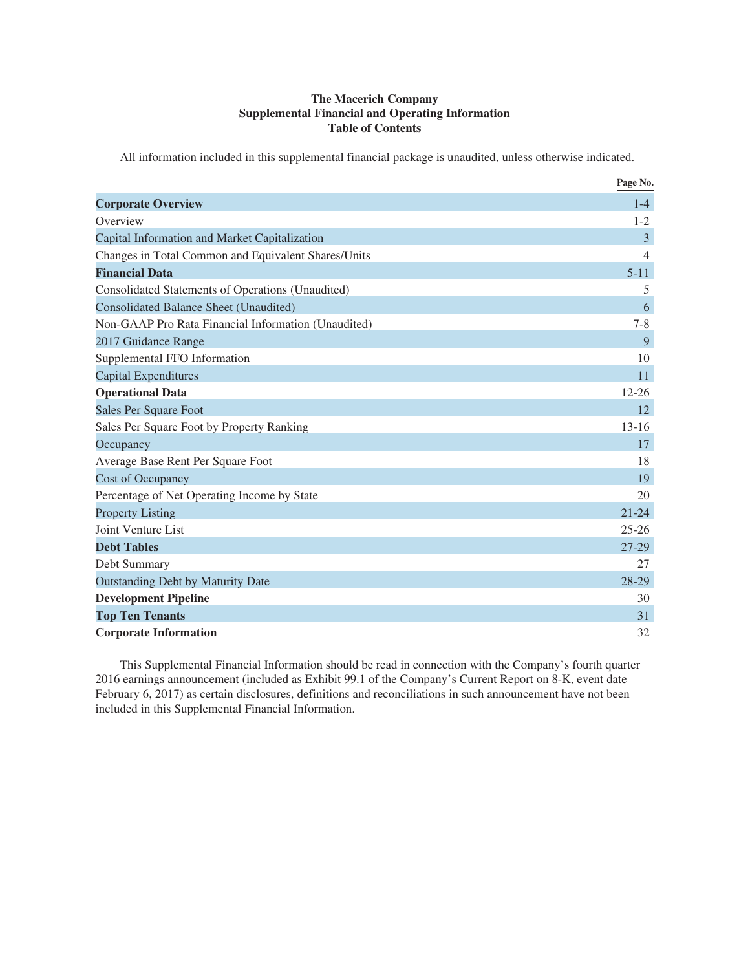### **The Macerich Company Supplemental Financial and Operating Information Table of Contents**

All information included in this supplemental financial package is unaudited, unless otherwise indicated.

|                                                     | Page No.  |
|-----------------------------------------------------|-----------|
| <b>Corporate Overview</b>                           | $1-4$     |
| Overview                                            | $1 - 2$   |
| Capital Information and Market Capitalization       | 3         |
| Changes in Total Common and Equivalent Shares/Units | 4         |
| <b>Financial Data</b>                               | $5 - 11$  |
| Consolidated Statements of Operations (Unaudited)   | 5         |
| <b>Consolidated Balance Sheet (Unaudited)</b>       | 6         |
| Non-GAAP Pro Rata Financial Information (Unaudited) | $7 - 8$   |
| 2017 Guidance Range                                 | 9         |
| Supplemental FFO Information                        | 10        |
| <b>Capital Expenditures</b>                         | 11        |
| <b>Operational Data</b>                             | $12 - 26$ |
| Sales Per Square Foot                               | 12        |
| Sales Per Square Foot by Property Ranking           | $13 - 16$ |
| Occupancy                                           | 17        |
| Average Base Rent Per Square Foot                   | 18        |
| <b>Cost of Occupancy</b>                            | 19        |
| Percentage of Net Operating Income by State         | 20        |
| <b>Property Listing</b>                             | $21 - 24$ |
| Joint Venture List                                  | $25 - 26$ |
| <b>Debt Tables</b>                                  | 27-29     |
| Debt Summary                                        | 27        |
| <b>Outstanding Debt by Maturity Date</b>            | 28-29     |
| <b>Development Pipeline</b>                         | 30        |
| <b>Top Ten Tenants</b>                              | 31        |
| <b>Corporate Information</b>                        | 32        |

This Supplemental Financial Information should be read in connection with the Company's fourth quarter 2016 earnings announcement (included as Exhibit 99.1 of the Company's Current Report on 8-K, event date February 6, 2017) as certain disclosures, definitions and reconciliations in such announcement have not been included in this Supplemental Financial Information.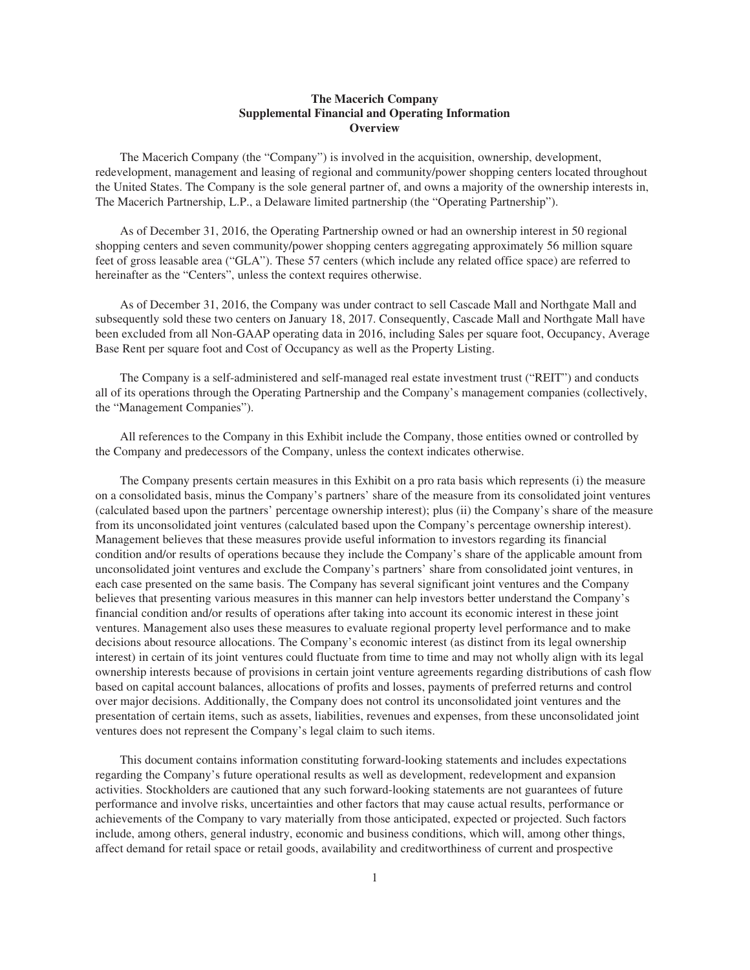### **The Macerich Company Supplemental Financial and Operating Information Overview**

The Macerich Company (the "Company") is involved in the acquisition, ownership, development, redevelopment, management and leasing of regional and community/power shopping centers located throughout the United States. The Company is the sole general partner of, and owns a majority of the ownership interests in, The Macerich Partnership, L.P., a Delaware limited partnership (the "Operating Partnership").

As of December 31, 2016, the Operating Partnership owned or had an ownership interest in 50 regional shopping centers and seven community/power shopping centers aggregating approximately 56 million square feet of gross leasable area ("GLA"). These 57 centers (which include any related office space) are referred to hereinafter as the "Centers", unless the context requires otherwise.

As of December 31, 2016, the Company was under contract to sell Cascade Mall and Northgate Mall and subsequently sold these two centers on January 18, 2017. Consequently, Cascade Mall and Northgate Mall have been excluded from all Non-GAAP operating data in 2016, including Sales per square foot, Occupancy, Average Base Rent per square foot and Cost of Occupancy as well as the Property Listing.

The Company is a self-administered and self-managed real estate investment trust ("REIT") and conducts all of its operations through the Operating Partnership and the Company's management companies (collectively, the "Management Companies").

All references to the Company in this Exhibit include the Company, those entities owned or controlled by the Company and predecessors of the Company, unless the context indicates otherwise.

The Company presents certain measures in this Exhibit on a pro rata basis which represents (i) the measure on a consolidated basis, minus the Company's partners' share of the measure from its consolidated joint ventures (calculated based upon the partners' percentage ownership interest); plus (ii) the Company's share of the measure from its unconsolidated joint ventures (calculated based upon the Company's percentage ownership interest). Management believes that these measures provide useful information to investors regarding its financial condition and/or results of operations because they include the Company's share of the applicable amount from unconsolidated joint ventures and exclude the Company's partners' share from consolidated joint ventures, in each case presented on the same basis. The Company has several significant joint ventures and the Company believes that presenting various measures in this manner can help investors better understand the Company's financial condition and/or results of operations after taking into account its economic interest in these joint ventures. Management also uses these measures to evaluate regional property level performance and to make decisions about resource allocations. The Company's economic interest (as distinct from its legal ownership interest) in certain of its joint ventures could fluctuate from time to time and may not wholly align with its legal ownership interests because of provisions in certain joint venture agreements regarding distributions of cash flow based on capital account balances, allocations of profits and losses, payments of preferred returns and control over major decisions. Additionally, the Company does not control its unconsolidated joint ventures and the presentation of certain items, such as assets, liabilities, revenues and expenses, from these unconsolidated joint ventures does not represent the Company's legal claim to such items.

This document contains information constituting forward-looking statements and includes expectations regarding the Company's future operational results as well as development, redevelopment and expansion activities. Stockholders are cautioned that any such forward-looking statements are not guarantees of future performance and involve risks, uncertainties and other factors that may cause actual results, performance or achievements of the Company to vary materially from those anticipated, expected or projected. Such factors include, among others, general industry, economic and business conditions, which will, among other things, affect demand for retail space or retail goods, availability and creditworthiness of current and prospective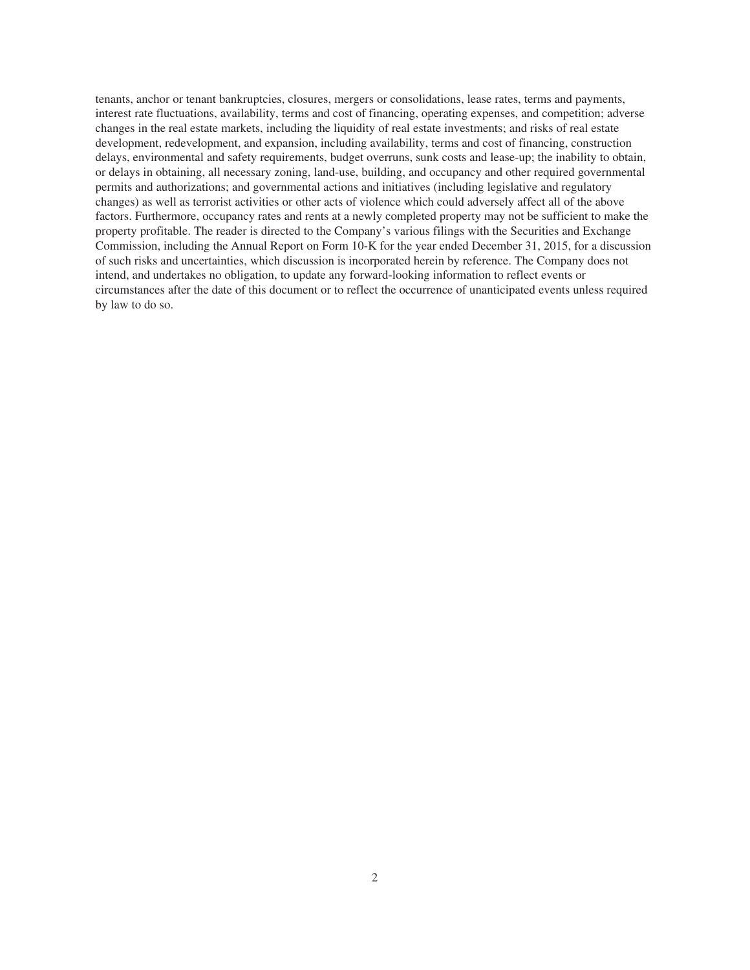tenants, anchor or tenant bankruptcies, closures, mergers or consolidations, lease rates, terms and payments, interest rate fluctuations, availability, terms and cost of financing, operating expenses, and competition; adverse changes in the real estate markets, including the liquidity of real estate investments; and risks of real estate development, redevelopment, and expansion, including availability, terms and cost of financing, construction delays, environmental and safety requirements, budget overruns, sunk costs and lease-up; the inability to obtain, or delays in obtaining, all necessary zoning, land-use, building, and occupancy and other required governmental permits and authorizations; and governmental actions and initiatives (including legislative and regulatory changes) as well as terrorist activities or other acts of violence which could adversely affect all of the above factors. Furthermore, occupancy rates and rents at a newly completed property may not be sufficient to make the property profitable. The reader is directed to the Company's various filings with the Securities and Exchange Commission, including the Annual Report on Form 10-K for the year ended December 31, 2015, for a discussion of such risks and uncertainties, which discussion is incorporated herein by reference. The Company does not intend, and undertakes no obligation, to update any forward-looking information to reflect events or circumstances after the date of this document or to reflect the occurrence of unanticipated events unless required by law to do so.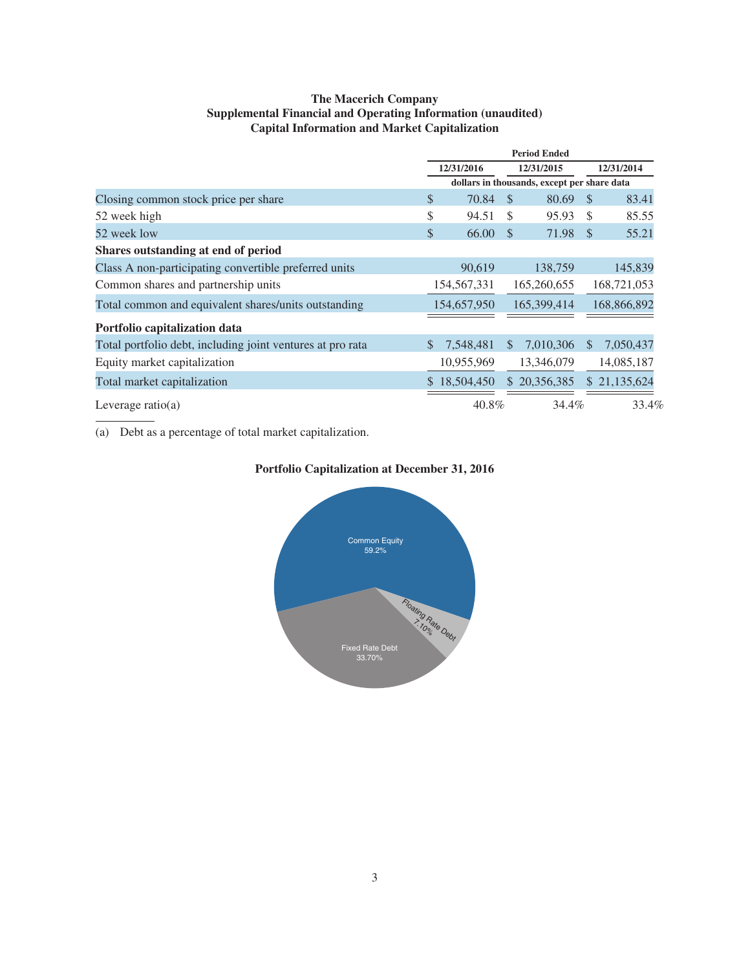### **The Macerich Company Supplemental Financial and Operating Information (unaudited) Capital Information and Market Capitalization**

|                                                            | <b>Period Ended</b> |              |               |                                             |               |              |  |
|------------------------------------------------------------|---------------------|--------------|---------------|---------------------------------------------|---------------|--------------|--|
|                                                            | 12/31/2016          |              | 12/31/2015    |                                             | 12/31/2014    |              |  |
|                                                            |                     |              |               | dollars in thousands, except per share data |               |              |  |
| Closing common stock price per share                       | \$                  | 70.84        | <sup>\$</sup> | 80.69                                       | - \$          | 83.41        |  |
| 52 week high                                               | \$                  | 94.51        | \$            | 95.93                                       | \$            | 85.55        |  |
| 52 week low                                                | \$                  | 66.00        | <sup>\$</sup> | 71.98                                       | $\mathcal{S}$ | 55.21        |  |
| Shares outstanding at end of period                        |                     |              |               |                                             |               |              |  |
| Class A non-participating convertible preferred units      |                     | 90,619       |               | 138,759                                     |               | 145,839      |  |
| Common shares and partnership units                        |                     | 154,567,331  |               | 165,260,655                                 |               | 168,721,053  |  |
| Total common and equivalent shares/units outstanding       |                     | 154,657,950  |               | 165,399,414                                 |               | 168,866,892  |  |
| Portfolio capitalization data                              |                     |              |               |                                             |               |              |  |
| Total portfolio debt, including joint ventures at pro rata |                     | 7,548,481    | <sup>\$</sup> | 7,010,306                                   | <sup>\$</sup> | 7,050,437    |  |
| Equity market capitalization                               |                     | 10,955,969   |               | 13,346,079                                  |               | 14,085,187   |  |
| Total market capitalization                                |                     | \$18,504,450 |               | \$20,356,385                                |               | \$21,135,624 |  |
| Leverage ratio(a)                                          |                     | 40.8%        |               | 34.4%                                       |               | 33.4%        |  |

(a) Debt as a percentage of total market capitalization.



### **Portfolio Capitalization at December 31, 2016**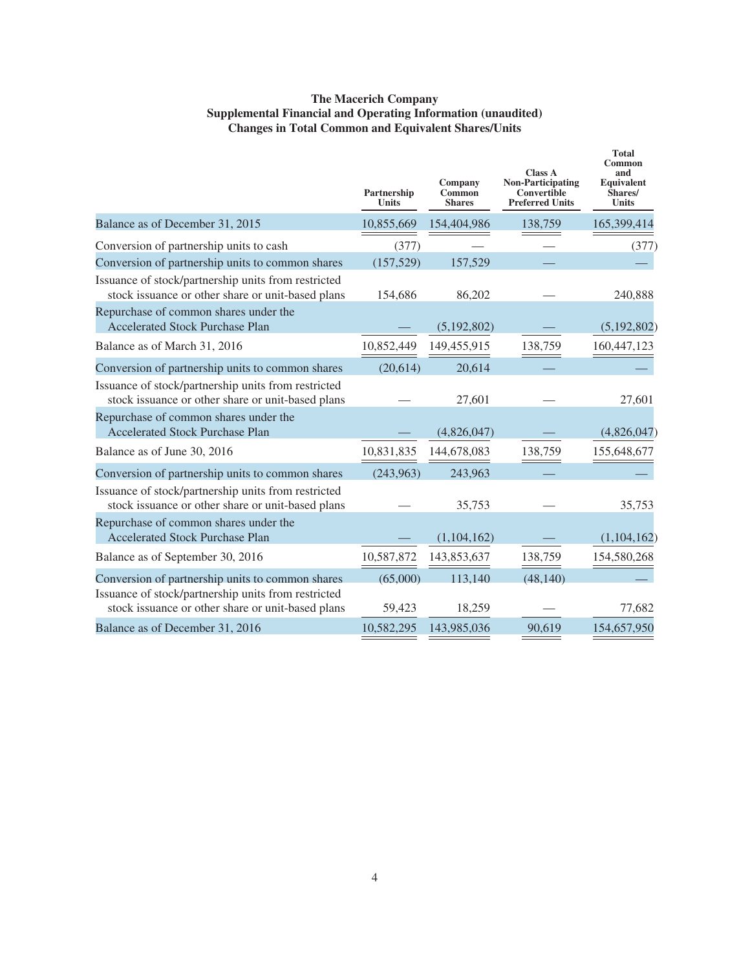### **The Macerich Company Supplemental Financial and Operating Information (unaudited) Changes in Total Common and Equivalent Shares/Units**

|                                                                                                          | Partnership<br><b>Units</b> | Company<br>Common<br><b>Shares</b> | <b>Class A</b><br><b>Non-Participating</b><br>Convertible<br><b>Preferred Units</b> | <b>Total</b><br>Common<br>and<br>Equivalent<br>Shares/<br><b>Units</b> |
|----------------------------------------------------------------------------------------------------------|-----------------------------|------------------------------------|-------------------------------------------------------------------------------------|------------------------------------------------------------------------|
| Balance as of December 31, 2015                                                                          | 10,855,669                  | 154,404,986                        | 138,759                                                                             | 165,399,414                                                            |
| Conversion of partnership units to cash                                                                  | (377)                       |                                    |                                                                                     | (377)                                                                  |
| Conversion of partnership units to common shares                                                         | (157, 529)                  | 157,529                            |                                                                                     |                                                                        |
| Issuance of stock/partnership units from restricted<br>stock issuance or other share or unit-based plans | 154,686                     | 86,202                             |                                                                                     | 240,888                                                                |
| Repurchase of common shares under the<br><b>Accelerated Stock Purchase Plan</b>                          |                             | (5, 192, 802)                      |                                                                                     | (5, 192, 802)                                                          |
| Balance as of March 31, 2016                                                                             | 10,852,449                  | 149,455,915                        | 138,759                                                                             | 160,447,123                                                            |
| Conversion of partnership units to common shares                                                         | (20,614)                    | 20,614                             |                                                                                     |                                                                        |
| Issuance of stock/partnership units from restricted<br>stock issuance or other share or unit-based plans |                             | 27,601                             |                                                                                     | 27,601                                                                 |
| Repurchase of common shares under the<br><b>Accelerated Stock Purchase Plan</b>                          |                             | (4,826,047)                        |                                                                                     | (4,826,047)                                                            |
| Balance as of June 30, 2016                                                                              | 10,831,835                  | 144,678,083                        | 138.759                                                                             | 155,648,677                                                            |
| Conversion of partnership units to common shares                                                         | (243,963)                   | 243,963                            |                                                                                     |                                                                        |
| Issuance of stock/partnership units from restricted<br>stock issuance or other share or unit-based plans |                             | 35,753                             |                                                                                     | 35,753                                                                 |
| Repurchase of common shares under the<br><b>Accelerated Stock Purchase Plan</b>                          |                             | (1,104,162)                        |                                                                                     | (1,104,162)                                                            |
| Balance as of September 30, 2016                                                                         | 10,587,872                  | 143,853,637                        | 138,759                                                                             | 154,580,268                                                            |
| Conversion of partnership units to common shares<br>Issuance of stock/partnership units from restricted  | (65,000)                    | 113,140                            | (48, 140)                                                                           |                                                                        |
| stock issuance or other share or unit-based plans                                                        | 59,423                      | 18,259                             |                                                                                     | 77,682                                                                 |
| Balance as of December 31, 2016                                                                          | 10,582,295                  | 143,985,036                        | 90,619                                                                              | 154,657,950                                                            |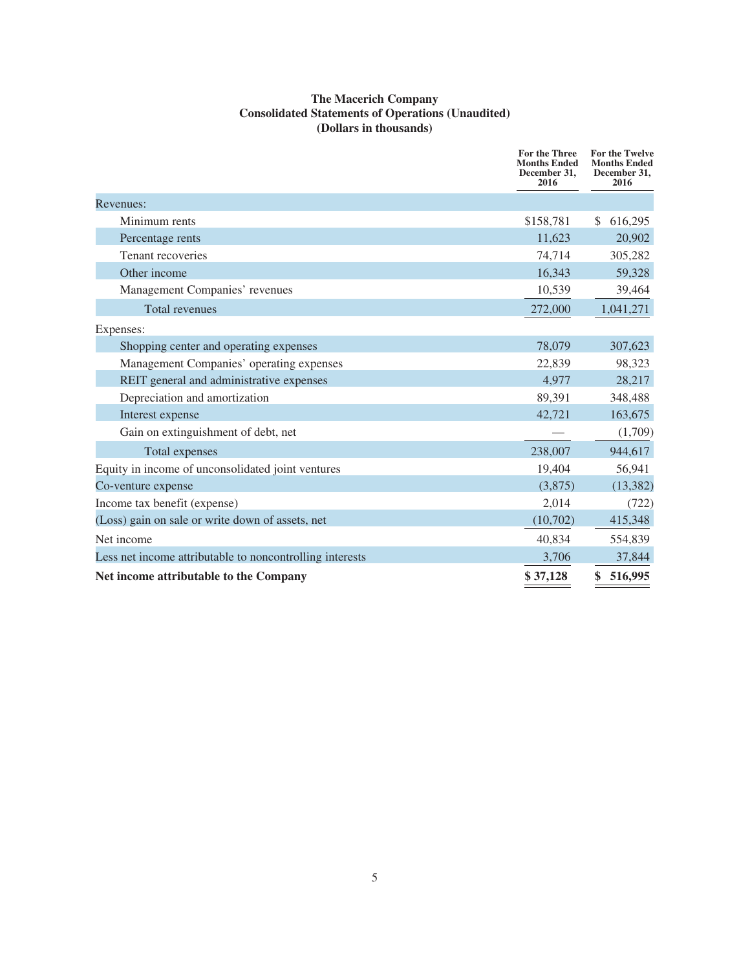### **The Macerich Company Consolidated Statements of Operations (Unaudited) (Dollars in thousands)**

|                                                          | For the Three<br><b>Months Ended</b><br>December 31,<br>2016 | For the Twelve<br><b>Months Ended</b><br>December 31,<br>2016 |
|----------------------------------------------------------|--------------------------------------------------------------|---------------------------------------------------------------|
| Revenues:                                                |                                                              |                                                               |
| Minimum rents                                            | \$158,781                                                    | 616,295<br>\$.                                                |
| Percentage rents                                         | 11,623                                                       | 20,902                                                        |
| Tenant recoveries                                        | 74,714                                                       | 305,282                                                       |
| Other income                                             | 16,343                                                       | 59,328                                                        |
| Management Companies' revenues                           | 10,539                                                       | 39,464                                                        |
| Total revenues                                           | 272,000                                                      | 1,041,271                                                     |
| Expenses:                                                |                                                              |                                                               |
| Shopping center and operating expenses                   | 78,079                                                       | 307,623                                                       |
| Management Companies' operating expenses                 | 22,839                                                       | 98,323                                                        |
| REIT general and administrative expenses                 | 4,977                                                        | 28,217                                                        |
| Depreciation and amortization                            | 89,391                                                       | 348,488                                                       |
| Interest expense                                         | 42,721                                                       | 163,675                                                       |
| Gain on extinguishment of debt, net                      |                                                              | (1,709)                                                       |
| Total expenses                                           | 238,007                                                      | 944,617                                                       |
| Equity in income of unconsolidated joint ventures        | 19,404                                                       | 56,941                                                        |
| Co-venture expense                                       | (3,875)                                                      | (13, 382)                                                     |
| Income tax benefit (expense)                             | 2,014                                                        | (722)                                                         |
| (Loss) gain on sale or write down of assets, net         | (10,702)                                                     | 415,348                                                       |
| Net income                                               | 40,834                                                       | 554,839                                                       |
| Less net income attributable to noncontrolling interests | 3,706                                                        | 37,844                                                        |
| Net income attributable to the Company                   | \$37,128                                                     | 516,995<br>\$                                                 |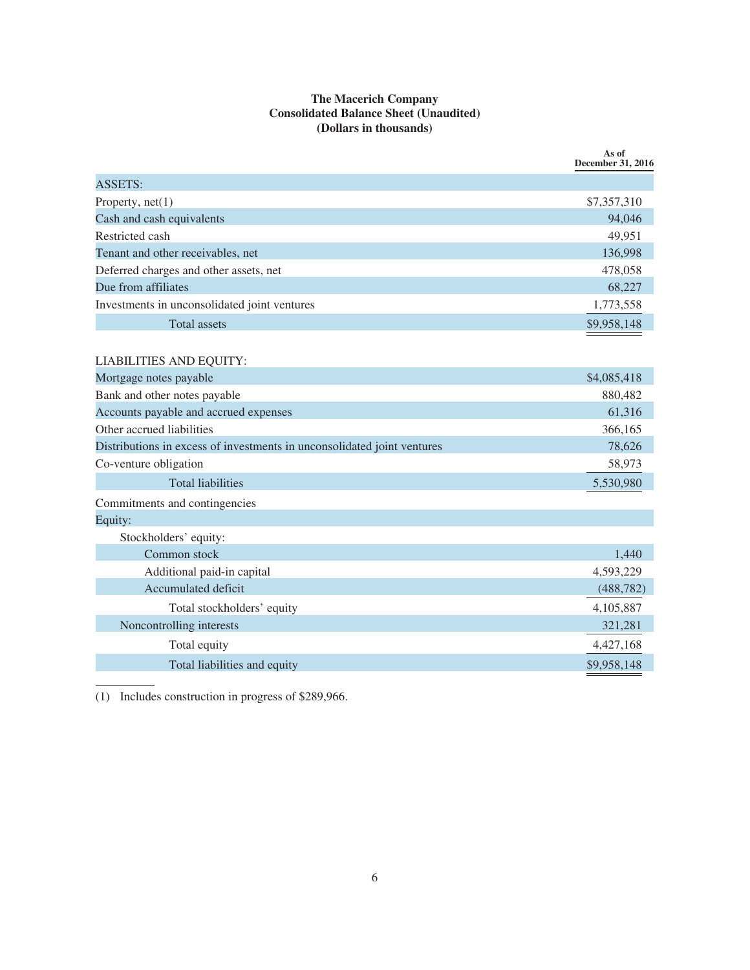### **The Macerich Company Consolidated Balance Sheet (Unaudited) (Dollars in thousands)**

|                                                                         | As of<br><b>December 31, 2016</b> |
|-------------------------------------------------------------------------|-----------------------------------|
| <b>ASSETS:</b>                                                          |                                   |
| Property, $net(1)$                                                      | \$7,357,310                       |
| Cash and cash equivalents                                               | 94,046                            |
| Restricted cash                                                         | 49,951                            |
| Tenant and other receivables, net                                       | 136,998                           |
| Deferred charges and other assets, net                                  | 478,058                           |
| Due from affiliates                                                     | 68,227                            |
| Investments in unconsolidated joint ventures                            | 1,773,558                         |
| <b>Total assets</b>                                                     | \$9,958,148                       |
| <b>LIABILITIES AND EQUITY:</b>                                          |                                   |
| Mortgage notes payable                                                  | \$4,085,418                       |
| Bank and other notes payable                                            | 880,482                           |
| Accounts payable and accrued expenses                                   | 61,316                            |
| Other accrued liabilities                                               | 366,165                           |
| Distributions in excess of investments in unconsolidated joint ventures | 78,626                            |
| Co-venture obligation                                                   | 58,973                            |
| <b>Total liabilities</b>                                                | 5,530,980                         |
| Commitments and contingencies                                           |                                   |
| Equity:                                                                 |                                   |
| Stockholders' equity:                                                   |                                   |
| Common stock                                                            | 1,440                             |
| Additional paid-in capital                                              | 4,593,229                         |
| Accumulated deficit                                                     | (488, 782)                        |
| Total stockholders' equity                                              | 4,105,887                         |
| Noncontrolling interests                                                | 321,281                           |
| Total equity                                                            | 4,427,168                         |
| Total liabilities and equity                                            | \$9,958,148                       |
|                                                                         |                                   |

(1) Includes construction in progress of \$289,966.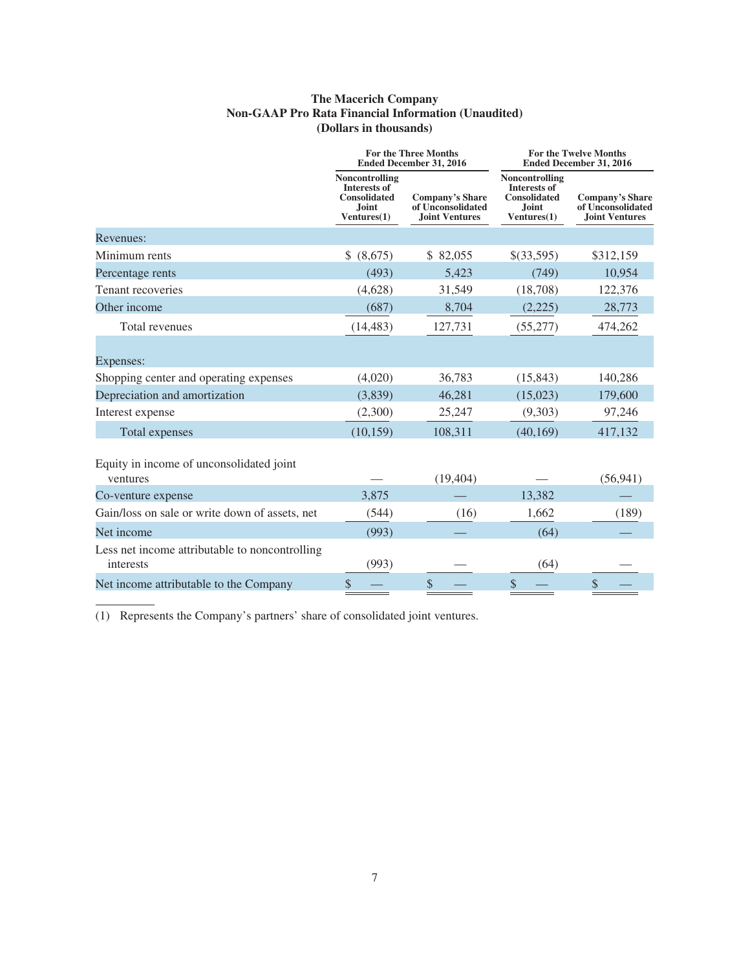### **The Macerich Company Non-GAAP Pro Rata Financial Information (Unaudited) (Dollars in thousands)**

|                                                             |                                                                                      | <b>For the Three Months</b><br><b>Ended December 31, 2016</b>        | <b>For the Twelve Months</b><br><b>Ended December 31, 2016</b>                              |                                                                      |  |  |
|-------------------------------------------------------------|--------------------------------------------------------------------------------------|----------------------------------------------------------------------|---------------------------------------------------------------------------------------------|----------------------------------------------------------------------|--|--|
|                                                             | Noncontrolling<br><b>Interests of</b><br><b>Consolidated</b><br>Joint<br>Ventures(1) | <b>Company's Share</b><br>of Unconsolidated<br><b>Joint Ventures</b> | Noncontrolling<br><b>Interests of</b><br><b>Consolidated</b><br><b>Joint</b><br>Ventures(1) | <b>Company's Share</b><br>of Unconsolidated<br><b>Joint Ventures</b> |  |  |
| Revenues:                                                   |                                                                                      |                                                                      |                                                                                             |                                                                      |  |  |
| Minimum rents                                               | \$ (8,675)                                                                           | \$ 82,055                                                            | \$(33,595)                                                                                  | \$312,159                                                            |  |  |
| Percentage rents                                            | (493)                                                                                | 5,423                                                                | (749)                                                                                       | 10,954                                                               |  |  |
| Tenant recoveries                                           | (4,628)                                                                              | 31,549                                                               | (18,708)                                                                                    | 122,376                                                              |  |  |
| Other income                                                | (687)                                                                                | 8,704                                                                | (2,225)                                                                                     | 28,773                                                               |  |  |
| Total revenues                                              | (14, 483)                                                                            | 127,731                                                              | (55,277)                                                                                    | 474,262                                                              |  |  |
| Expenses:                                                   |                                                                                      |                                                                      |                                                                                             |                                                                      |  |  |
| Shopping center and operating expenses                      | (4,020)                                                                              | 36,783                                                               | (15, 843)                                                                                   | 140,286                                                              |  |  |
| Depreciation and amortization                               | (3,839)                                                                              | 46,281                                                               | (15,023)                                                                                    | 179,600                                                              |  |  |
| Interest expense                                            | (2,300)                                                                              | 25,247                                                               | (9,303)                                                                                     | 97,246                                                               |  |  |
| Total expenses                                              | (10, 159)                                                                            | 108,311                                                              | (40, 169)                                                                                   | 417,132                                                              |  |  |
| Equity in income of unconsolidated joint<br>ventures        |                                                                                      | (19, 404)                                                            |                                                                                             | (56, 941)                                                            |  |  |
| Co-venture expense                                          | 3,875                                                                                |                                                                      | 13,382                                                                                      |                                                                      |  |  |
| Gain/loss on sale or write down of assets, net              | (544)                                                                                | (16)                                                                 | 1,662                                                                                       | (189)                                                                |  |  |
| Net income                                                  | (993)                                                                                |                                                                      | (64)                                                                                        |                                                                      |  |  |
| Less net income attributable to noncontrolling<br>interests | (993)                                                                                |                                                                      | (64)                                                                                        |                                                                      |  |  |
| Net income attributable to the Company                      | \$                                                                                   | $\frac{1}{2}$                                                        | \$                                                                                          | $\$\$                                                                |  |  |

(1) Represents the Company's partners' share of consolidated joint ventures.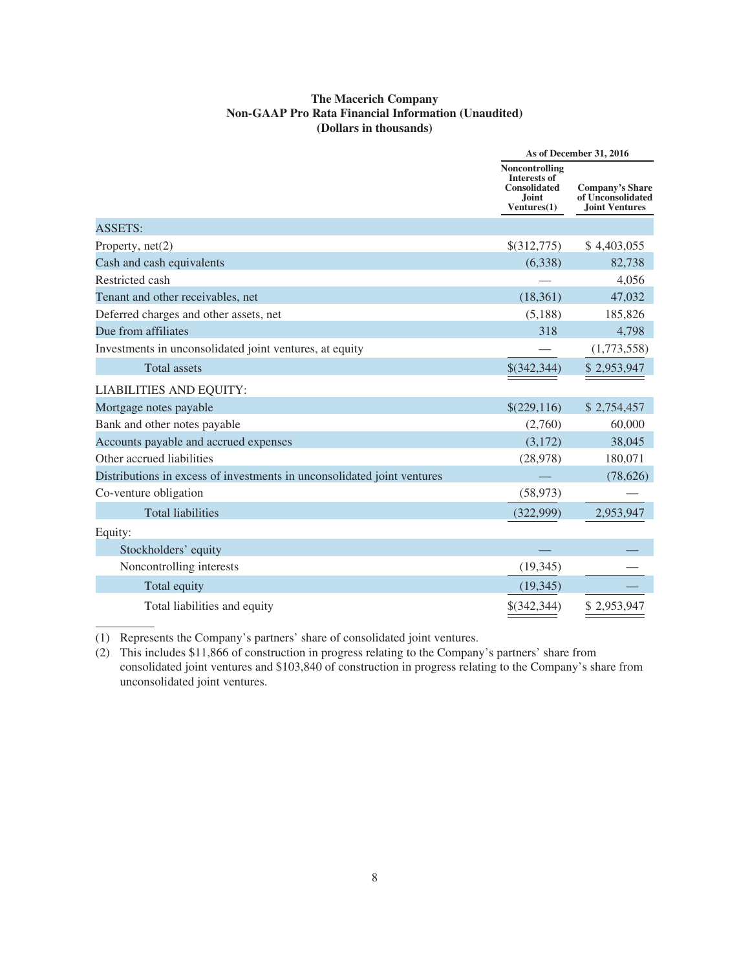### **The Macerich Company Non-GAAP Pro Rata Financial Information (Unaudited) (Dollars in thousands)**

|                                                                         | As of December 31, 2016                                                              |                                                                      |  |
|-------------------------------------------------------------------------|--------------------------------------------------------------------------------------|----------------------------------------------------------------------|--|
|                                                                         | Noncontrolling<br><b>Interests of</b><br><b>Consolidated</b><br>Joint<br>Ventures(1) | <b>Company's Share</b><br>of Unconsolidated<br><b>Joint Ventures</b> |  |
| <b>ASSETS:</b>                                                          |                                                                                      |                                                                      |  |
| Property, $net(2)$                                                      | \$(312,775)                                                                          | \$4,403,055                                                          |  |
| Cash and cash equivalents                                               | (6,338)                                                                              | 82,738                                                               |  |
| Restricted cash                                                         |                                                                                      | 4,056                                                                |  |
| Tenant and other receivables, net                                       | (18,361)                                                                             | 47,032                                                               |  |
| Deferred charges and other assets, net                                  | (5,188)                                                                              | 185,826                                                              |  |
| Due from affiliates                                                     | 318                                                                                  | 4,798                                                                |  |
| Investments in unconsolidated joint ventures, at equity                 |                                                                                      | (1,773,558)                                                          |  |
| <b>Total assets</b>                                                     | \$(342,344)                                                                          | \$2,953,947                                                          |  |
| <b>LIABILITIES AND EQUITY:</b>                                          |                                                                                      |                                                                      |  |
| Mortgage notes payable                                                  | \$(229,116)                                                                          | \$2,754,457                                                          |  |
| Bank and other notes payable                                            | (2,760)                                                                              | 60,000                                                               |  |
| Accounts payable and accrued expenses                                   | (3,172)                                                                              | 38,045                                                               |  |
| Other accrued liabilities                                               | (28, 978)                                                                            | 180,071                                                              |  |
| Distributions in excess of investments in unconsolidated joint ventures |                                                                                      | (78, 626)                                                            |  |
| Co-venture obligation                                                   | (58, 973)                                                                            |                                                                      |  |
| <b>Total liabilities</b>                                                | (322,999)                                                                            | 2,953,947                                                            |  |
| Equity:                                                                 |                                                                                      |                                                                      |  |
| Stockholders' equity                                                    |                                                                                      |                                                                      |  |
| Noncontrolling interests                                                | (19, 345)                                                                            |                                                                      |  |
| Total equity                                                            | (19, 345)                                                                            |                                                                      |  |
| Total liabilities and equity                                            | $$$ (342,344)                                                                        | \$2,953,947                                                          |  |

(1) Represents the Company's partners' share of consolidated joint ventures.

(2) This includes \$11,866 of construction in progress relating to the Company's partners' share from consolidated joint ventures and \$103,840 of construction in progress relating to the Company's share from unconsolidated joint ventures.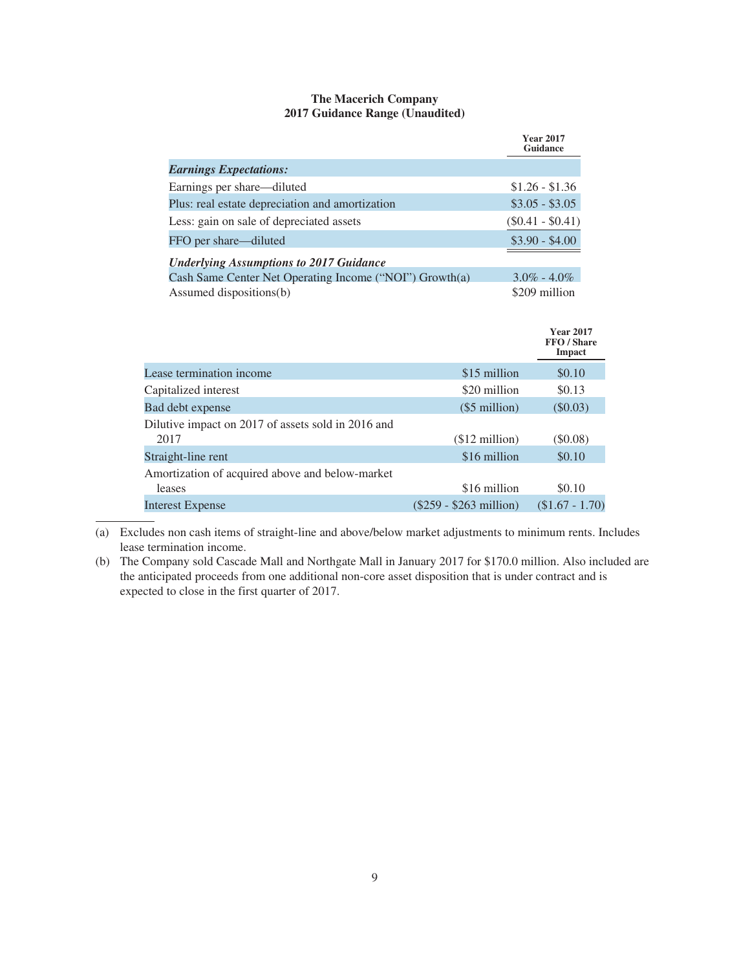### **The Macerich Company 2017 Guidance Range (Unaudited)**

|                                                         | <b>Year 2017</b><br><b>Guidance</b> |
|---------------------------------------------------------|-------------------------------------|
| <b>Earnings Expectations:</b>                           |                                     |
| Earnings per share—diluted                              | $$1.26 - $1.36$                     |
| Plus: real estate depreciation and amortization         | $$3.05 - $3.05$                     |
| Less: gain on sale of depreciated assets                | $(\$0.41 - \$0.41)$                 |
| FFO per share—diluted                                   | $$3.90 - $4.00$                     |
| <b>Underlying Assumptions to 2017 Guidance</b>          |                                     |
| Cash Same Center Net Operating Income ("NOI") Growth(a) | $3.0\% - 4.0\%$                     |
| Assumed dispositions(b)                                 | \$209 million                       |

|                                                            |                           | <b>Year 2017</b><br>FFO / Share<br>Impact |
|------------------------------------------------------------|---------------------------|-------------------------------------------|
| Lease termination income                                   | \$15 million              | \$0.10                                    |
| Capitalized interest                                       | \$20 million              | \$0.13                                    |
| Bad debt expense                                           | $(\$5$ million)           | $(\$0.03)$                                |
| Dilutive impact on 2017 of assets sold in 2016 and<br>2017 | $$12$ million)            | $\$0.08)$                                 |
| Straight-line rent                                         | \$16 million              | \$0.10                                    |
| Amortization of acquired above and below-market<br>leases  | \$16 million              | \$0.10                                    |
| Interest Expense                                           | $(\$259 - \$263$ million) | $($1.67 - 1.70)$                          |

(a) Excludes non cash items of straight-line and above/below market adjustments to minimum rents. Includes lease termination income.

(b) The Company sold Cascade Mall and Northgate Mall in January 2017 for \$170.0 million. Also included are the anticipated proceeds from one additional non-core asset disposition that is under contract and is expected to close in the first quarter of 2017.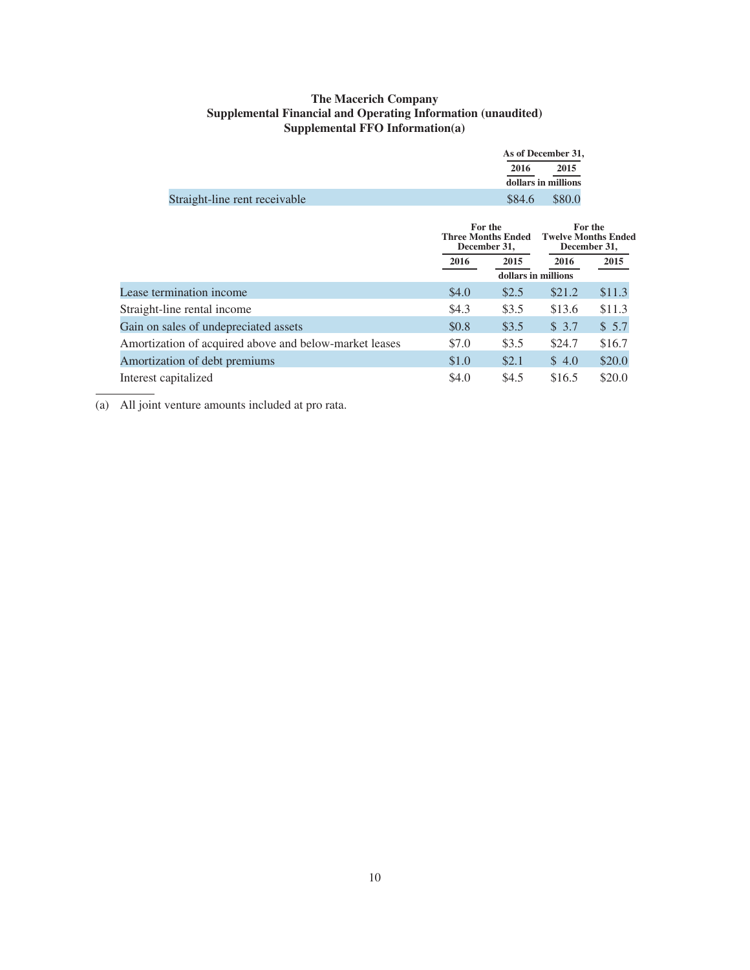### **The Macerich Company Supplemental Financial and Operating Information (unaudited) Supplemental FFO Information(a)**

|                               | As of December 31,  |  |
|-------------------------------|---------------------|--|
|                               | 2015<br>2016        |  |
|                               | dollars in millions |  |
| Straight-line rent receivable | \$84.6<br>\$80.0    |  |

|                                                        |       | For the<br><b>Three Months Ended</b><br>December 31, |        | For the<br><b>Twelve Months Ended</b><br>December 31, |  |
|--------------------------------------------------------|-------|------------------------------------------------------|--------|-------------------------------------------------------|--|
|                                                        | 2016  | 2015                                                 | 2016   | 2015                                                  |  |
|                                                        |       | dollars in millions                                  |        |                                                       |  |
| Lease termination income                               | \$4.0 | \$2.5                                                | \$21.2 | \$11.3                                                |  |
| Straight-line rental income                            | \$4.3 | \$3.5                                                | \$13.6 | \$11.3                                                |  |
| Gain on sales of undepreciated assets                  | \$0.8 | \$3.5                                                | \$3.7  | \$5.7                                                 |  |
| Amortization of acquired above and below-market leases | \$7.0 | \$3.5                                                | \$24.7 | \$16.7                                                |  |
| Amortization of debt premiums                          | \$1.0 | \$2.1                                                | \$4.0  | \$20.0                                                |  |
| Interest capitalized                                   | \$4.0 | \$4.5                                                | \$16.5 | \$20.0                                                |  |
|                                                        |       |                                                      |        |                                                       |  |

(a) All joint venture amounts included at pro rata.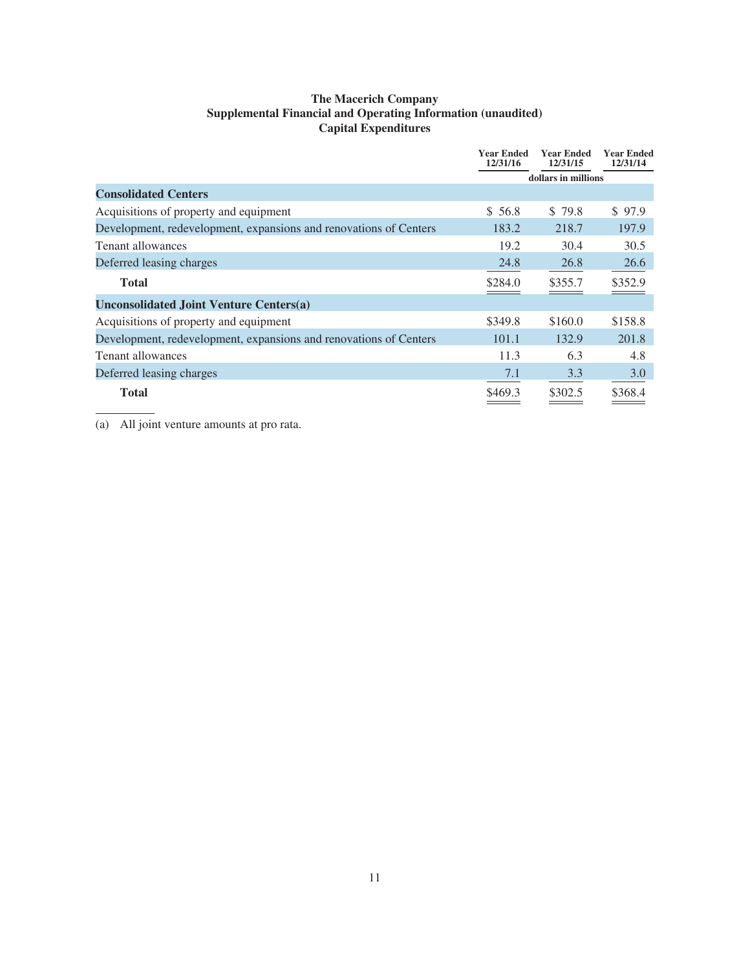### **The Macerich Company Supplemental Financial and Operating Information (unaudited) Capital Expenditures**

|                                                                   | <b>Year Ended</b><br>12/31/16 | <b>Year Ended</b><br>12/31/15 | <b>Year Ended</b><br>12/31/14 |
|-------------------------------------------------------------------|-------------------------------|-------------------------------|-------------------------------|
|                                                                   |                               | dollars in millions           |                               |
| <b>Consolidated Centers</b>                                       |                               |                               |                               |
| Acquisitions of property and equipment                            | \$56.8                        | \$79.8                        | \$97.9                        |
| Development, redevelopment, expansions and renovations of Centers | 183.2                         | 218.7                         | 197.9                         |
| Tenant allowances                                                 | 19.2                          | 30.4                          | 30.5                          |
| Deferred leasing charges                                          | 24.8                          | 26.8                          | 26.6                          |
| <b>Total</b>                                                      | \$284.0                       | \$355.7                       | \$352.9                       |
| <b>Unconsolidated Joint Venture Centers(a)</b>                    |                               |                               |                               |
| Acquisitions of property and equipment                            | \$349.8                       | \$160.0                       | \$158.8                       |
| Development, redevelopment, expansions and renovations of Centers | 101.1                         | 132.9                         | 201.8                         |
| Tenant allowances                                                 | 11.3                          | 6.3                           | 4.8                           |
| Deferred leasing charges                                          | 7.1                           | 3.3                           | 3.0                           |
| <b>Total</b>                                                      | \$469.3                       | \$302.5                       | \$368.4                       |

(a) All joint venture amounts at pro rata.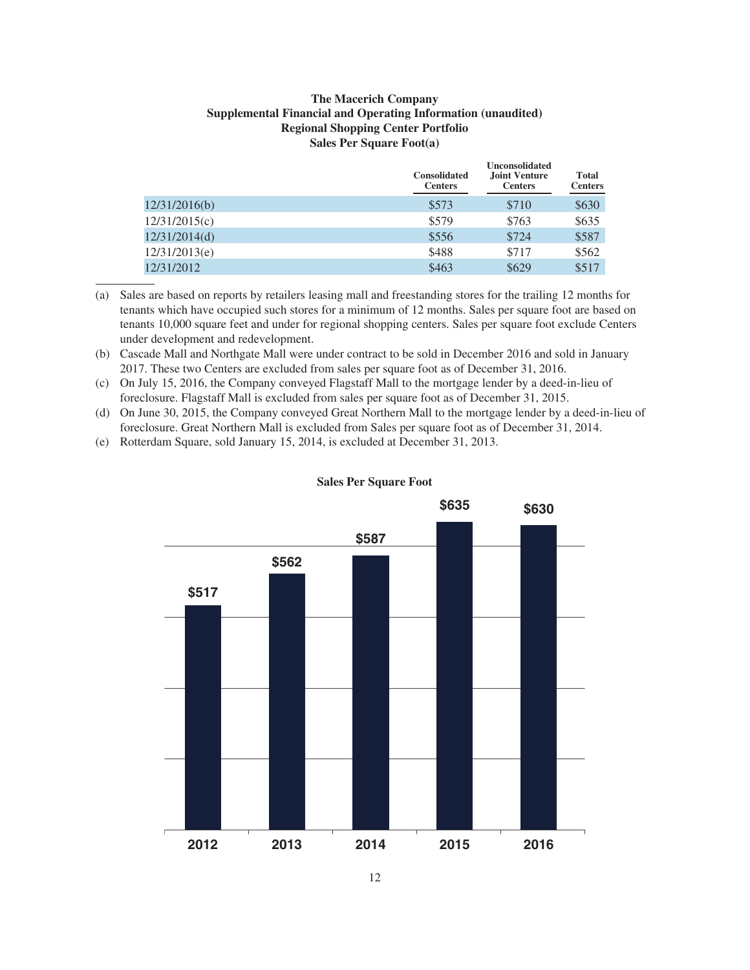### **The Macerich Company Supplemental Financial and Operating Information (unaudited) Regional Shopping Center Portfolio Sales Per Square Foot(a)**

|               | <b>Consolidated</b><br><b>Centers</b> | <b>Unconsolidated</b><br><b>Joint Venture</b><br><b>Centers</b> | Total<br><b>Centers</b> |
|---------------|---------------------------------------|-----------------------------------------------------------------|-------------------------|
| 12/31/2016(b) | \$573                                 | \$710                                                           | \$630                   |
| 12/31/2015(c) | \$579                                 | \$763                                                           | \$635                   |
| 12/31/2014(d) | \$556                                 | \$724                                                           | \$587                   |
| 12/31/2013(e) | \$488                                 | \$717                                                           | \$562                   |
| 12/31/2012    | \$463                                 | \$629                                                           | \$517                   |

(a) Sales are based on reports by retailers leasing mall and freestanding stores for the trailing 12 months for tenants which have occupied such stores for a minimum of 12 months. Sales per square foot are based on tenants 10,000 square feet and under for regional shopping centers. Sales per square foot exclude Centers under development and redevelopment.

- (b) Cascade Mall and Northgate Mall were under contract to be sold in December 2016 and sold in January 2017. These two Centers are excluded from sales per square foot as of December 31, 2016.
- (c) On July 15, 2016, the Company conveyed Flagstaff Mall to the mortgage lender by a deed-in-lieu of foreclosure. Flagstaff Mall is excluded from sales per square foot as of December 31, 2015.
- (d) On June 30, 2015, the Company conveyed Great Northern Mall to the mortgage lender by a deed-in-lieu of foreclosure. Great Northern Mall is excluded from Sales per square foot as of December 31, 2014.
- (e) Rotterdam Square, sold January 15, 2014, is excluded at December 31, 2013.



### **Sales Per Square Foot**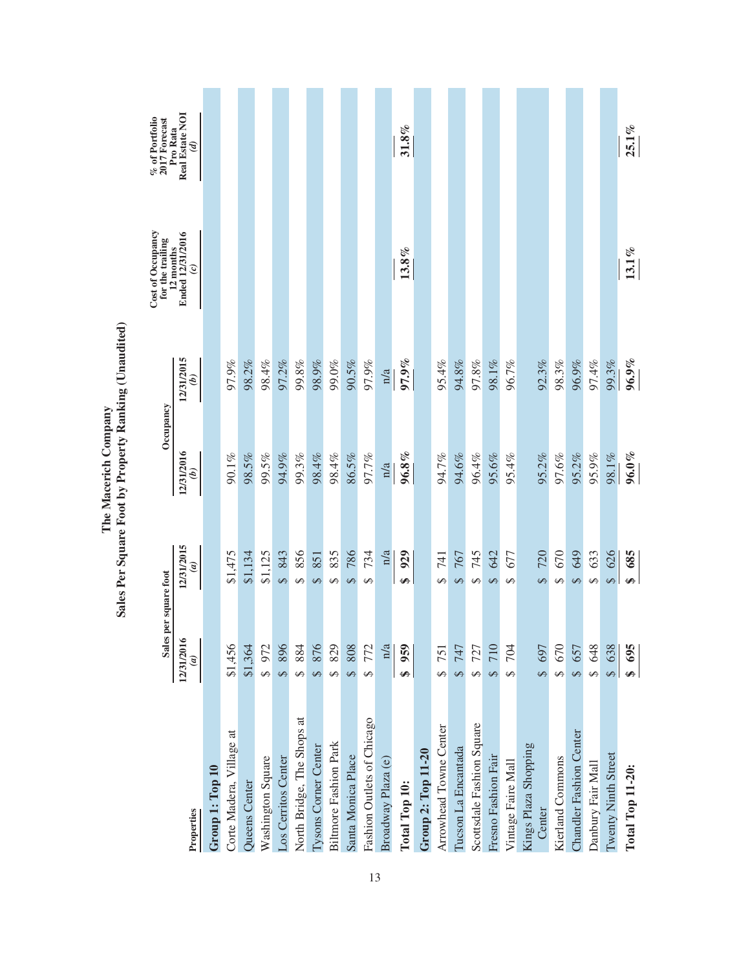|                                | Sales per square foot       |                              | Occupancy                 |                             | Cost of Occupancy<br>for the trailing<br>12 months | % of Portfolio<br>2017 Forecast<br>Pro Rata |
|--------------------------------|-----------------------------|------------------------------|---------------------------|-----------------------------|----------------------------------------------------|---------------------------------------------|
| Properties                     | 12/31/2016<br>$\widehat{a}$ | 12/31/2015<br>$\mathfrak{a}$ | 12/31/2016<br>$\tilde{e}$ | 12/31/2015<br>$\widehat{e}$ | Ended 12/31/2016<br>$\odot$                        | Real Estate NOI<br>$\mathcal{G}$            |
| Group 1: Top 10                |                             |                              |                           |                             |                                                    |                                             |
| Corte Madera, Village at       | \$1,456                     | \$1,475                      | 90.1%                     | 97.9%                       |                                                    |                                             |
| Queens Center                  | \$1,364                     | \$1,134                      | 98.5%                     | 98.2%                       |                                                    |                                             |
| Washington Square              | \$972                       | \$1,125                      | 99.5%                     | 98.4%                       |                                                    |                                             |
| Los Cerritos Center            | \$896                       | \$43                         | 94.9%                     | 97.2%                       |                                                    |                                             |
| North Bridge, The Shops at     | \$884                       | 856<br>$\leftrightarrow$     | 99.3%                     | 99.8%                       |                                                    |                                             |
| <b>Tysons Corner Center</b>    | 876<br>↮                    | 851<br>$\leftrightarrow$     | 98.4%                     | 98.9%                       |                                                    |                                             |
| <b>Biltmore Fashion Park</b>   | 829<br>↔                    | 835<br>$\Theta$              | 98.4%                     | 99.0%                       |                                                    |                                             |
| Santa Monica Place             | 808<br>↔                    | 786<br>$\Theta$              | 86.5%                     | 90.5%                       |                                                    |                                             |
| Fashion Outlets of Chicago     | 772<br>↔                    | 734<br>$\Theta$              | 97.7%                     | 97.9%                       |                                                    |                                             |
| Broadway Plaza (e)             | n/a                         | n/a                          | n/a                       | n/a                         |                                                    |                                             |
| Total Top 10:                  | 959<br>↮                    | 929<br>₩                     | $96.8\%$                  | 97.9%                       | $13.8\%$                                           | 31.8%                                       |
| Group 2: Top 11-20             |                             |                              |                           |                             |                                                    |                                             |
| Arrowhead Towne Center         | 751<br>5                    | 741<br>S                     | 94.7%                     | 95.4%                       |                                                    |                                             |
| Tucson La Encantada            | 247                         | 767<br>$\Theta$              | 94.6%                     | 94.8%                       |                                                    |                                             |
| Scottsdale Fashion Square      | 727<br>$\Theta$             | 745<br>$\Theta$              | 96.4%                     | 97.8%                       |                                                    |                                             |
| Fresno Fashion Fair            | 710                         | 642<br>$\Theta$              | 95.6%                     | 98.1%                       |                                                    |                                             |
| Vintage Faire Mall             | 704<br>S                    | 677<br>$\leftrightarrow$     | 95.4%                     | 96.7%                       |                                                    |                                             |
| Kings Plaza Shopping<br>Center | \$697                       | 720<br>$\Theta$              | 95.2%                     | 92.3%                       |                                                    |                                             |
| Kierland Commons               | \$670                       | 670<br>$\Theta$              | 97.6%                     | 98.3%                       |                                                    |                                             |
| Chandler Fashion Center        | \$657                       | 649<br>$\Theta$              | 95.2%                     | 96.9%                       |                                                    |                                             |
| Danbury Fair Mall              | \$648                       | 633<br>↔                     | 95.9%                     | 97.4%                       |                                                    |                                             |
| Twenty Ninth Street            | \$638                       | 626<br>$\Theta$              | 98.1%                     | 99.3%                       |                                                    |                                             |
| <b>Total Top 11-20:</b>        | 695<br>Ø                    | 685<br>↮                     | $96.0\%$                  | $96.9\%$                    | $13.1\%$                                           | $25.1\%$                                    |

The Macerich Company<br>Sales Per Square Foot by Property Ranking (Unaudited) **Sales Per Square Foot by Property Ranking (Unaudited) The Macerich Company**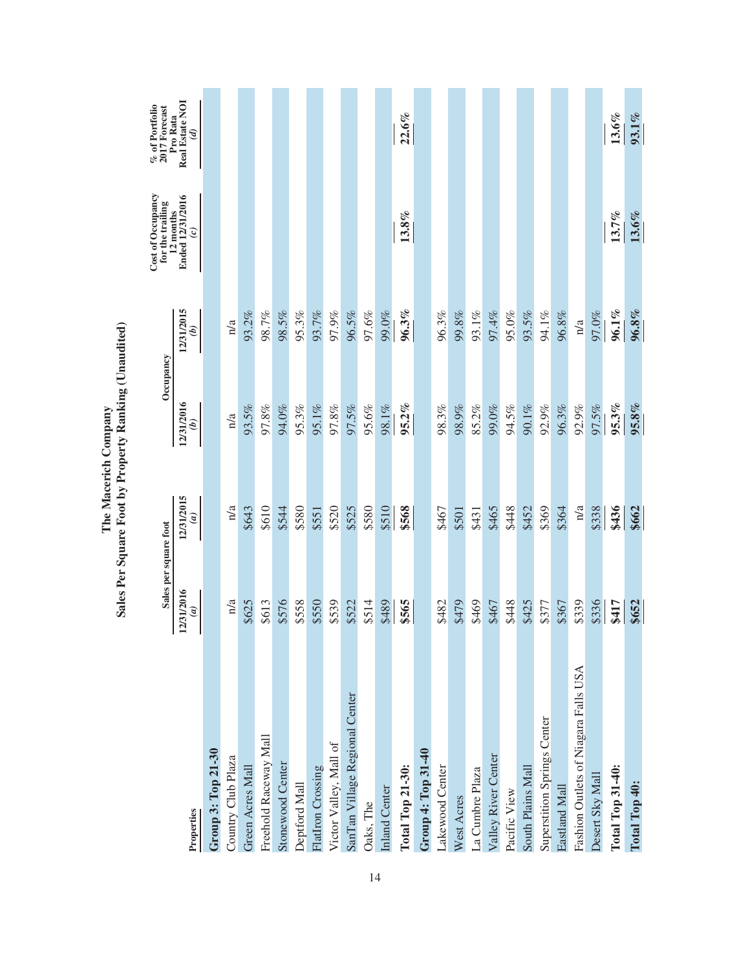|                                      | Sales per square foot        |                              | Occupancy                   |                             | Cost of Occupancy<br>for the trailing          | $\%$ of Portfolio 2017 Forecast<br>Pro Rata |
|--------------------------------------|------------------------------|------------------------------|-----------------------------|-----------------------------|------------------------------------------------|---------------------------------------------|
| Properties                           | 12/31/2016<br>$\mathfrak{g}$ | 12/31/2015<br>$\mathfrak{g}$ | 12/31/2016<br>$\widehat{e}$ | 12/31/2015<br>$\widehat{e}$ | Ended 12/31/2016<br>12 months<br>$\mathcal{C}$ | Real Estate NOI<br>$\mathcal{G}$            |
| <b>Group 3: Top 21-30</b>            |                              |                              |                             |                             |                                                |                                             |
| Country Club Plaza                   | n/a                          | n/a                          | n/a                         | n/a                         |                                                |                                             |
| Green Acres Mall                     | \$625                        | \$643                        | 93.5%                       | 93.2%                       |                                                |                                             |
| Freehold Raceway Mall                | \$613                        | \$610                        | 97.8%                       | 98.7%                       |                                                |                                             |
| Stonewood Center                     | \$576                        | \$544                        | 94.0%                       | 98.5%                       |                                                |                                             |
| Deptford Mall                        | \$558                        | \$580                        | 95.3%                       | 95.3%                       |                                                |                                             |
| <b>FlatIron Crossing</b>             | \$550                        | \$551                        | 95.1%                       | 93.7%                       |                                                |                                             |
| Victor Valley, Mall of               | \$539                        | \$520                        | 97.8%                       | 97.9%                       |                                                |                                             |
| SanTan Village Regional Center       | \$522                        | \$525                        | 97.5%                       | 96.5%                       |                                                |                                             |
| Oaks, The                            | \$514                        | \$580                        | 95.6%                       | 97.6%                       |                                                |                                             |
| Inland Center                        | \$489                        | \$510                        | 98.1%                       | 99.0%                       |                                                |                                             |
| <b>Total Top 21-30:</b>              | \$565                        | \$568                        | $95.2\%$                    | 96.3%                       | $13.8\%$                                       | $22.6\%$                                    |
| Group 4: Top 31-40                   |                              |                              |                             |                             |                                                |                                             |
| Lakewood Center                      | \$482                        | \$467                        | 98.3%                       | 96.3%                       |                                                |                                             |
| West Acres                           | \$479                        | \$501                        | 98.9%                       | 99.8%                       |                                                |                                             |
| La Cumbre Plaza                      | \$469                        | \$431                        | 85.2%                       | 93.1%                       |                                                |                                             |
| Valley River Center                  | \$467                        | \$465                        | 99.0%                       | 97.4%                       |                                                |                                             |
| Pacific View                         | \$448                        | \$448                        | 94.5%                       | 95.0%                       |                                                |                                             |
| South Plains Mall                    | \$425                        | \$452                        | 90.1%                       | 93.5%                       |                                                |                                             |
| <b>Superstition Springs Center</b>   | \$377                        | \$369                        | 92.9%                       | 94.1%                       |                                                |                                             |
| Eastland Mall                        | \$367                        | \$364                        | 96.3%                       | 96.8%                       |                                                |                                             |
| Fashion Outlets of Niagara Falls USA | \$339                        | n/a                          | 92.9%                       | n/a                         |                                                |                                             |
| Desert Sky Mall                      | \$336                        | \$338                        | 97.5%                       | 97.0%                       |                                                |                                             |
| <b>Total Top 31-40:</b>              | \$417                        | \$436                        | 95.3%                       | $96.1\%$                    | 13.7%                                          | $13.6\%$                                    |
| Total Top 40:                        | \$652                        | \$662                        | 95.8%                       | 96.8%                       | $13.6\%$                                       | $93.1\%$                                    |

The Macerich Company<br>Sales Per Square Foot by Property Ranking (Unaudited) **Sales Per Square Foot by Property Ranking (Unaudited) The Macerich Company**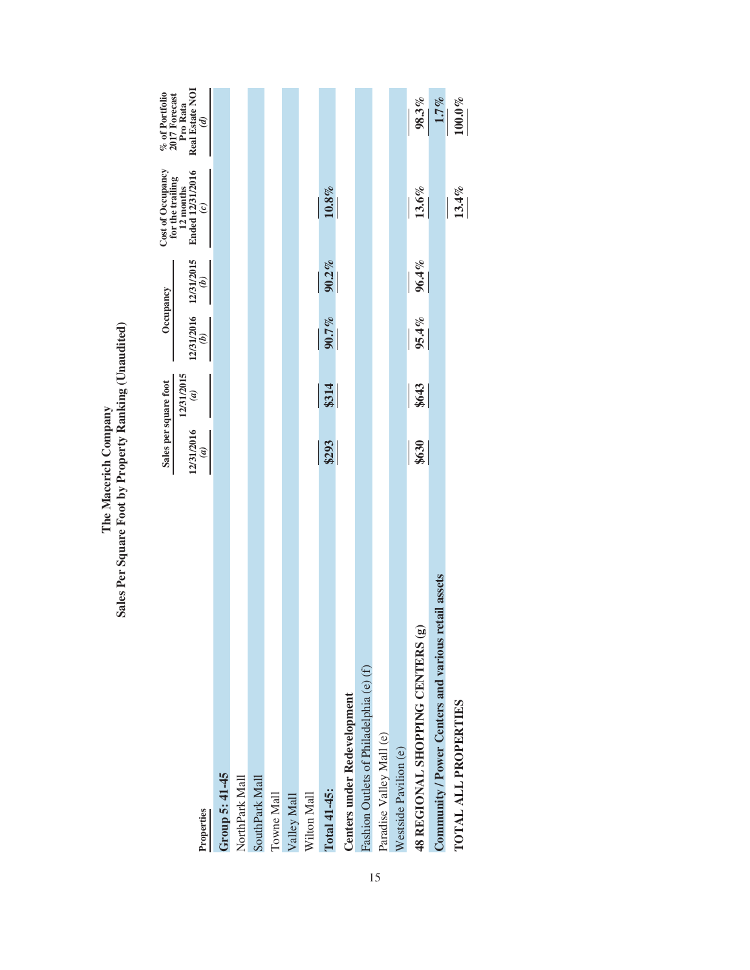|                                                        | Sales per square foot    |                   | Occupancy                              |               | Cost of Occupancy<br>for the trailing                                                  | $\%$ of Portfolio<br>2017 Forecast           |
|--------------------------------------------------------|--------------------------|-------------------|----------------------------------------|---------------|----------------------------------------------------------------------------------------|----------------------------------------------|
| Properties                                             | 12/31/2016<br>$\epsilon$ | 12/31/2015<br>(a) | 12/31/2016 12/31/2015<br>$\widehat{q}$ | $\widehat{a}$ | $\begin{array}{c} \text{12 months} \\ \text{End 12/31/2016} \end{array}$<br>$\epsilon$ | Real Estate NOI<br>Pro Rata<br>$\mathcal{E}$ |
| Group 5: 41-45                                         |                          |                   |                                        |               |                                                                                        |                                              |
| NorthPark Mall                                         |                          |                   |                                        |               |                                                                                        |                                              |
| SouthPark Mall                                         |                          |                   |                                        |               |                                                                                        |                                              |
| Towne Mall                                             |                          |                   |                                        |               |                                                                                        |                                              |
| Valley Mall                                            |                          |                   |                                        |               |                                                                                        |                                              |
| Wilton Mall                                            |                          |                   |                                        |               |                                                                                        |                                              |
| Total 41-45:                                           | \$293                    | \$314             | 90.7%                                  | $90.2\%$      | $10.8\%$                                                                               |                                              |
| Centers under Redevelopment                            |                          |                   |                                        |               |                                                                                        |                                              |
| Fashion Outlets of Philadelphia (e) (f)                |                          |                   |                                        |               |                                                                                        |                                              |
| Paradise Valley Mall (e)                               |                          |                   |                                        |               |                                                                                        |                                              |
| Westside Pavilion (e)                                  |                          |                   |                                        |               |                                                                                        |                                              |
| $\mathbf{\widehat{e}}$<br>48 REGIONAL SHOPPING CENTERS | \$630                    | \$643             | 95.4%                                  | 96.4%         | $13.6\%$                                                                               | 98.3%                                        |
| Community / Power Centers and various retail assets    |                          |                   |                                        |               |                                                                                        | 1.7%                                         |
| TOTAL ALL PROPERTIES                                   |                          |                   |                                        |               | 13.4%                                                                                  | $100.0\,\%$                                  |
|                                                        |                          |                   |                                        |               |                                                                                        |                                              |

The Macerich Company<br>Sales Per Square Foot by Property Ranking (Unaudited) **Sales Per Square Foot by Property Ranking (Unaudited) The Macerich Company**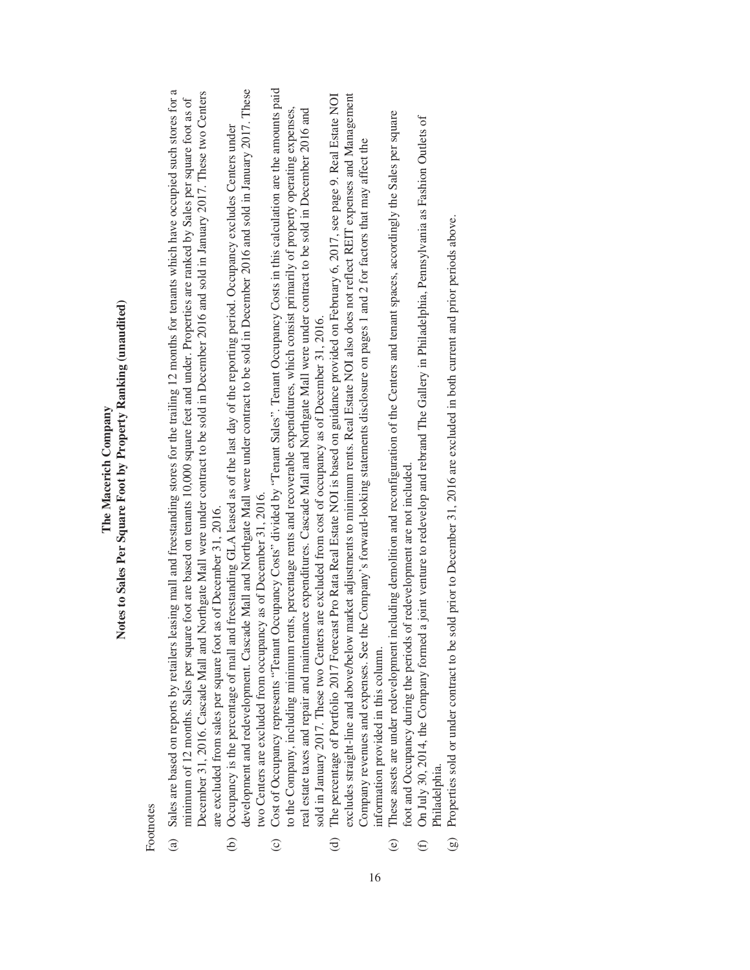### Notes to Sales Per Square Foot by Property Ranking (unaudited) **Notes to Sales Per Square Foot by Property Ranking (unaudited)** The Macerich Company **The Macerich Company**

Footnotes Footnotes

- Sales are based on reports by retailers leasing mall and freestanding stores for the trailing 12 months for tenants which have occupied such stores for a (a) Sales are based on reports by retailers leasing mall and freestanding stores for the trailing 12 months for tenants which have occupied such stores for a December 31, 2016. Cascade Mall and Northgate Mall were under contract to be sold in December 2016 and sold in January 2017. These two Centers December 31, 2016. Cascade Mall and Northgate Mall were under contract to be sold in December 2016 and sold in January 2017. These two Centers minimum of 12 months. Sales per square foot are based on tenants 10,000 square feet and under. Properties are ranked by Sales per square foot as of minimum of 12 months. Sales per square foot are based on tenants 10,000 square feet and under. Properties are ranked by Sales per square foot as of are excluded from sales per square foot as of December 31, 2016. are excluded from sales per square foot as of December 31, 2016.  $\hat{a}$ 
	- development and redevelopment. Cascade Mall and Northgate Mall were under contract to be sold in December 2016 and sold in January 2017. These development and redevelopment. Cascade Mall and Northgate Mall were under contract to be sold in December 2016 and sold in January 2017. These Occupancy is the percentage of mall and freestanding GLA leased as of the last day of the reporting period. Occupancy excludes Centers under (b) Occupancy is the percentage of mall and freestanding GLA leased as of the last day of the reporting period. Occupancy excludes Centers under two Centers are excluded from occupancy as of December 31, 2016. two Centers are excluded from occupancy as of December 31, 2016.  $\widehat{e}$
- Cost of Occupancy represents "Tenant Occupancy Costs" divided by "Tenant Sales". Tenant Occupancy Costs in this calculation are the amounts paid (c) Cost of Occupancy represents "Tenant Occupancy Costs" divided by "Tenant Sales". Tenant Occupancy Costs in this calculation are the amounts paid to the Company, including minimum rents, percentage rents and recoverable expenditures, which consist primarily of property operating expenses, to the Company, including minimum rents, percentage rents and recoverable expenditures, which consist primarily of property operating expenses, real estate taxes and repair and maintenance expenditures. Cascade Mall and Northgate Mall were under contract to be sold in December 2016 and real estate taxes and repair and maintenance expenditures. Cascade Mall and Northgate Mall were under contract to be sold in December 2016 and sold in January 2017. These two Centers are excluded from cost of occupancy as of December 31, 2016. sold in January 2017. These two Centers are excluded from cost of occupancy as of December 31, 2016.  $\odot$ 
	- excludes straight-line and above/below market adjustments to minimum rents. Real Estate NOI also does not reflect REIT expenses and Management The percentage of Portfolio 2017 Forecast Pro Rata Real Estate NOI is based on guidance provided on February 6, 2017, see page 9. Real Estate NOI (d) The percentage of Portfolio 2017 Forecast Pro Rata Real Estate NOI is based on guidance provided on February 6, 2017, see page 9. Real Estate NOI excludes straight-line and above/below market adjustments to minimum rents. Real Estate NOI also does not reflect REIT expenses and Management Company revenues and expenses. See the Company's forward-looking statements disclosure on pages 1 and 2 for factors that may affect the Company revenues and expenses. See the Company's forward-looking statements disclosure on pages 1 and 2 for factors that may affect the information provided in this column. information provided in this column.  $\Theta$

16

- These assets are under redevelopment including demolition and reconfiguration of the Centers and tenant spaces, accordingly the Sales per square (e) These assets are under redevelopment including demolition and reconfiguration of the Centers and tenant spaces, accordingly the Sales per square oot and Occupancy during the periods of redevelopment are not included. foot and Occupancy during the periods of redevelopment are not included.  $\Theta$ 
	- On July 30, 2014, the Company formed a joint venture to redevelop and rebrand The Gallery in Philadelphia, Pennsylvania as Fashion Outlets of (f) On July 30, 2014, the Company formed a joint venture to redevelop and rebrand The Gallery in Philadelphia, Pennsylvania as Fashion Outlets of Philadelphia. Philadelphia.  $\bigoplus$
- Properties sold or under contract to be sold prior to December 31, 2016 are excluded in both current and prior periods above. (g) Properties sold or under contract to be sold prior to December 31, 2016 are excluded in both current and prior periods above.  $\odot$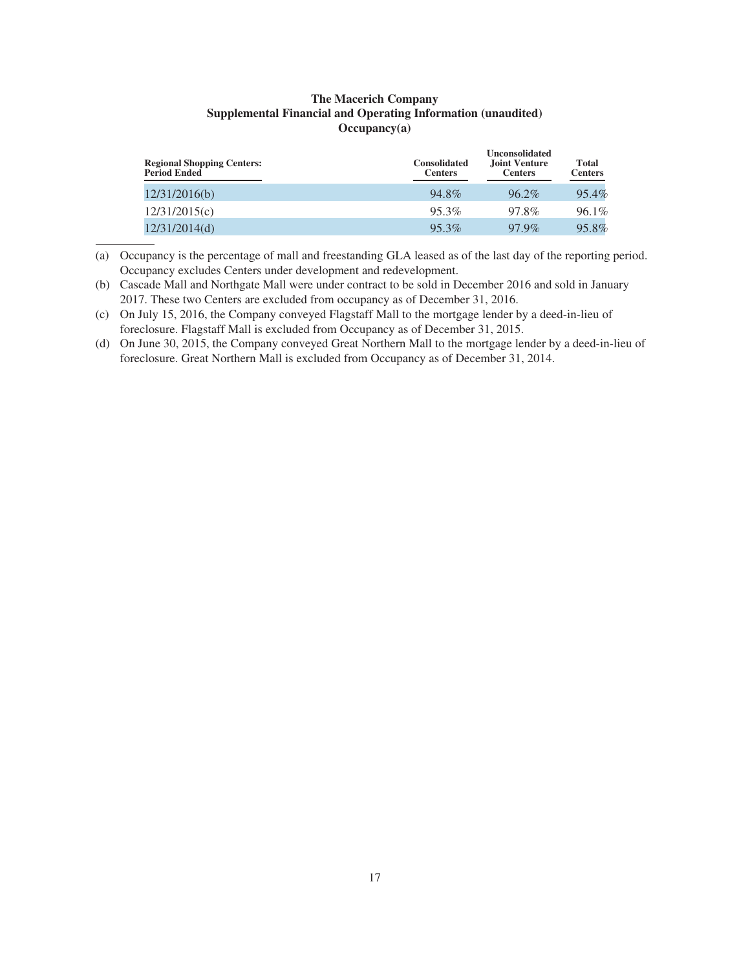### **The Macerich Company Supplemental Financial and Operating Information (unaudited) Occupancy(a)**

| <b>Regional Shopping Centers:</b><br><b>Period Ended</b> | <b>Consolidated</b><br><b>Centers</b> | <b>Unconsolidated</b><br><b>Joint Venture</b><br><b>Centers</b> | Total<br><b>Centers</b> |
|----------------------------------------------------------|---------------------------------------|-----------------------------------------------------------------|-------------------------|
| 12/31/2016(b)                                            | 94.8%                                 | $96.2\%$                                                        | 95.4%                   |
| 12/31/2015(c)                                            | 95.3%                                 | 97.8%                                                           | 96.1%                   |
| 12/31/2014(d)                                            | 95.3%                                 | 97.9%                                                           | 95.8%                   |

(a) Occupancy is the percentage of mall and freestanding GLA leased as of the last day of the reporting period. Occupancy excludes Centers under development and redevelopment.

(b) Cascade Mall and Northgate Mall were under contract to be sold in December 2016 and sold in January 2017. These two Centers are excluded from occupancy as of December 31, 2016.

- (c) On July 15, 2016, the Company conveyed Flagstaff Mall to the mortgage lender by a deed-in-lieu of foreclosure. Flagstaff Mall is excluded from Occupancy as of December 31, 2015.
- (d) On June 30, 2015, the Company conveyed Great Northern Mall to the mortgage lender by a deed-in-lieu of foreclosure. Great Northern Mall is excluded from Occupancy as of December 31, 2014.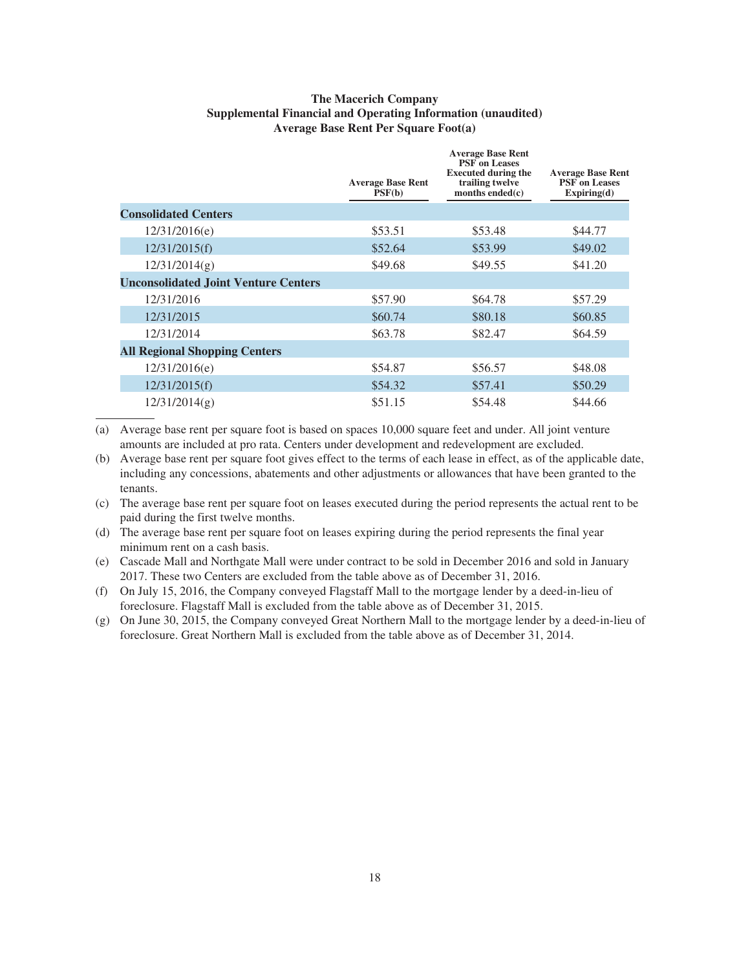### **The Macerich Company Supplemental Financial and Operating Information (unaudited) Average Base Rent Per Square Foot(a)**

|                                             | <b>Average Base Rent</b><br>PSF(b) | <b>Average Base Rent</b><br><b>PSF</b> on Leases<br><b>Executed during the</b><br>trailing twelve<br>months ended $(c)$ | <b>Average Base Rent</b><br><b>PSF</b> on Leases<br>Expiring(d) |
|---------------------------------------------|------------------------------------|-------------------------------------------------------------------------------------------------------------------------|-----------------------------------------------------------------|
| <b>Consolidated Centers</b>                 |                                    |                                                                                                                         |                                                                 |
| 12/31/2016(e)                               | \$53.51                            | \$53.48                                                                                                                 | \$44.77                                                         |
| 12/31/2015(f)                               | \$52.64                            | \$53.99                                                                                                                 | \$49.02                                                         |
| 12/31/2014(g)                               | \$49.68                            | \$49.55                                                                                                                 | \$41.20                                                         |
| <b>Unconsolidated Joint Venture Centers</b> |                                    |                                                                                                                         |                                                                 |
| 12/31/2016                                  | \$57.90                            | \$64.78                                                                                                                 | \$57.29                                                         |
| 12/31/2015                                  | \$60.74                            | \$80.18                                                                                                                 | \$60.85                                                         |
| 12/31/2014                                  | \$63.78                            | \$82.47                                                                                                                 | \$64.59                                                         |
| <b>All Regional Shopping Centers</b>        |                                    |                                                                                                                         |                                                                 |
| 12/31/2016(e)                               | \$54.87                            | \$56.57                                                                                                                 | \$48.08                                                         |
| 12/31/2015(f)                               | \$54.32                            | \$57.41                                                                                                                 | \$50.29                                                         |
| 12/31/2014(g)                               | \$51.15                            | \$54.48                                                                                                                 | \$44.66                                                         |
|                                             |                                    |                                                                                                                         |                                                                 |

(a) Average base rent per square foot is based on spaces 10,000 square feet and under. All joint venture amounts are included at pro rata. Centers under development and redevelopment are excluded.

(b) Average base rent per square foot gives effect to the terms of each lease in effect, as of the applicable date, including any concessions, abatements and other adjustments or allowances that have been granted to the tenants.

(c) The average base rent per square foot on leases executed during the period represents the actual rent to be paid during the first twelve months.

(d) The average base rent per square foot on leases expiring during the period represents the final year minimum rent on a cash basis.

(e) Cascade Mall and Northgate Mall were under contract to be sold in December 2016 and sold in January 2017. These two Centers are excluded from the table above as of December 31, 2016.

(f) On July 15, 2016, the Company conveyed Flagstaff Mall to the mortgage lender by a deed-in-lieu of foreclosure. Flagstaff Mall is excluded from the table above as of December 31, 2015.

(g) On June 30, 2015, the Company conveyed Great Northern Mall to the mortgage lender by a deed-in-lieu of foreclosure. Great Northern Mall is excluded from the table above as of December 31, 2014.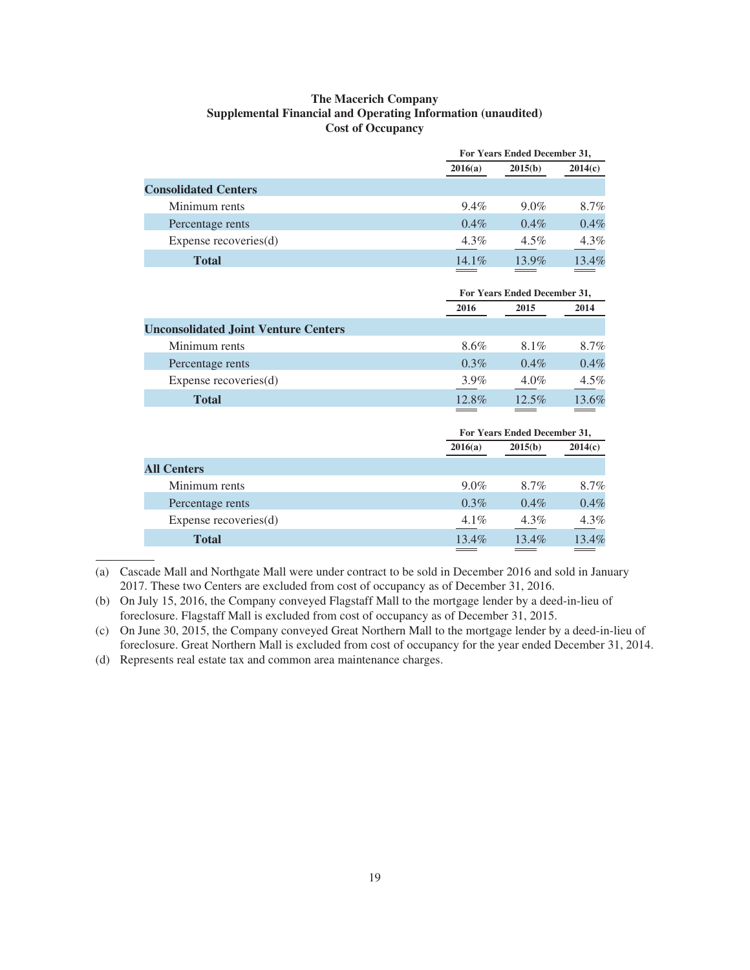### **The Macerich Company Supplemental Financial and Operating Information (unaudited) Cost of Occupancy**

|                             |          | For Years Ended December 31, |          |
|-----------------------------|----------|------------------------------|----------|
|                             | 2016(a)  | 2015(b)                      | 2014(c)  |
| <b>Consolidated Centers</b> |          |                              |          |
| Minimum rents               | $9.4\%$  | $9.0\%$                      | 8.7%     |
| Percentage rents            | $0.4\%$  | $0.4\%$                      | 0.4%     |
| Expense recoveries(d)       | $4.3\%$  | $4.5\%$                      | $4.3\%$  |
| <b>Total</b>                | $14.1\%$ | $13.9\%$                     | $13.4\%$ |

|                                             |          | For Years Ended December 31, |         |
|---------------------------------------------|----------|------------------------------|---------|
|                                             | 2016     | 2015                         | 2014    |
| <b>Unconsolidated Joint Venture Centers</b> |          |                              |         |
| Minimum rents                               | 8.6%     | 8.1%                         | 8.7%    |
| Percentage rents                            | $0.3\%$  | $0.4\%$                      | 0.4%    |
| Expense recoveries $(d)$                    | $3.9\%$  | $4.0\%$                      | $4.5\%$ |
| <b>Total</b>                                | $12.8\%$ | 12.5%                        | 13.6%   |

|                          |          | For Years Ended December 31, |         |
|--------------------------|----------|------------------------------|---------|
|                          | 2016(a)  | 2015(b)                      | 2014(c) |
| <b>All Centers</b>       |          |                              |         |
| Minimum rents            | $9.0\%$  | 8.7%                         | 8.7%    |
| Percentage rents         | $0.3\%$  | $0.4\%$                      | 0.4%    |
| Expense recoveries $(d)$ | $4.1\%$  | $4.3\%$                      | 4.3%    |
| <b>Total</b>             | $13.4\%$ | $13.4\%$                     | 13.4%   |

(a) Cascade Mall and Northgate Mall were under contract to be sold in December 2016 and sold in January 2017. These two Centers are excluded from cost of occupancy as of December 31, 2016.

(b) On July 15, 2016, the Company conveyed Flagstaff Mall to the mortgage lender by a deed-in-lieu of foreclosure. Flagstaff Mall is excluded from cost of occupancy as of December 31, 2015.

(c) On June 30, 2015, the Company conveyed Great Northern Mall to the mortgage lender by a deed-in-lieu of foreclosure. Great Northern Mall is excluded from cost of occupancy for the year ended December 31, 2014.

(d) Represents real estate tax and common area maintenance charges.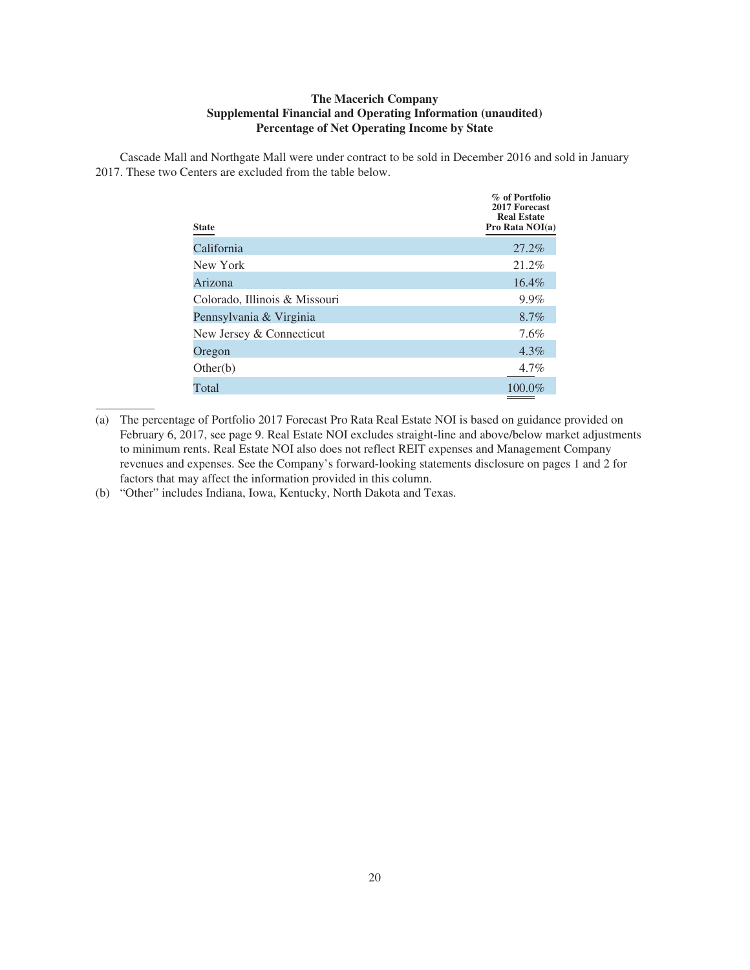### **The Macerich Company Supplemental Financial and Operating Information (unaudited) Percentage of Net Operating Income by State**

Cascade Mall and Northgate Mall were under contract to be sold in December 2016 and sold in January 2017. These two Centers are excluded from the table below.

| <b>State</b>                  | % of Portfolio<br>2017 Forecast<br><b>Real Estate</b><br>Pro Rata NOI(a) |
|-------------------------------|--------------------------------------------------------------------------|
| California                    | 27.2%                                                                    |
| New York                      | 21.2%                                                                    |
| Arizona                       | $16.4\%$                                                                 |
| Colorado, Illinois & Missouri | 9.9%                                                                     |
| Pennsylvania & Virginia       | 8.7%                                                                     |
| New Jersey & Connecticut      | 7.6%                                                                     |
| Oregon                        | $4.3\%$                                                                  |
| Other(b)                      | $4.7\%$                                                                  |
| Total                         | 100.0%                                                                   |

<sup>(</sup>a) The percentage of Portfolio 2017 Forecast Pro Rata Real Estate NOI is based on guidance provided on February 6, 2017, see page 9. Real Estate NOI excludes straight-line and above/below market adjustments to minimum rents. Real Estate NOI also does not reflect REIT expenses and Management Company revenues and expenses. See the Company's forward-looking statements disclosure on pages 1 and 2 for factors that may affect the information provided in this column.

<sup>(</sup>b) "Other" includes Indiana, Iowa, Kentucky, North Dakota and Texas.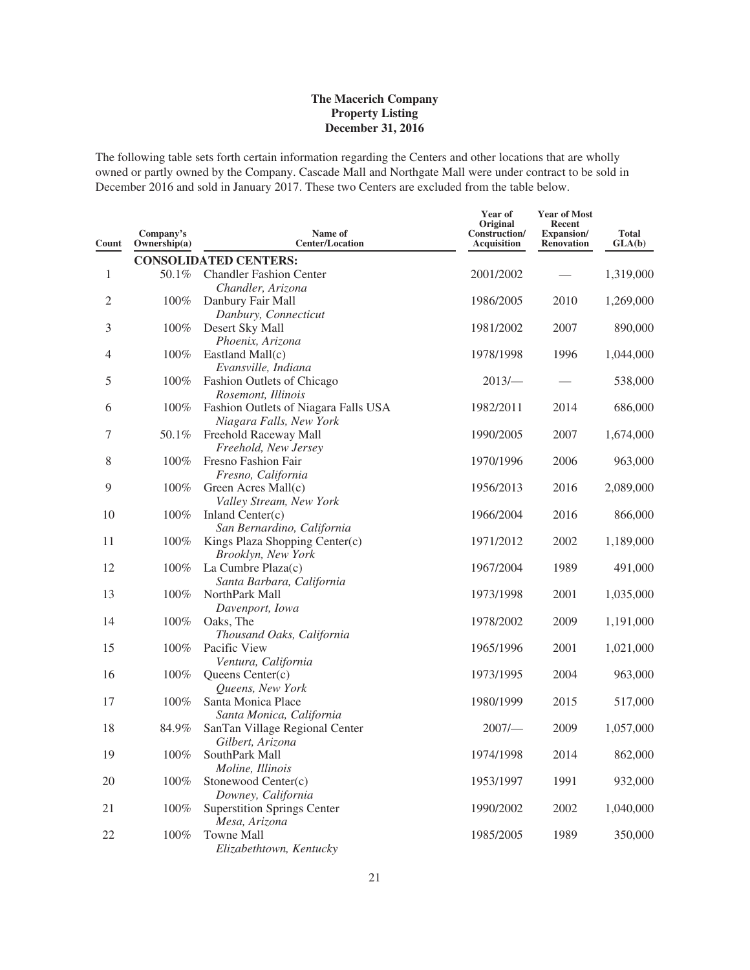The following table sets forth certain information regarding the Centers and other locations that are wholly owned or partly owned by the Company. Cascade Mall and Northgate Mall were under contract to be sold in December 2016 and sold in January 2017. These two Centers are excluded from the table below.

| Count          | Company's<br>Ownership(a) | Name of<br><b>Center/Location</b>                               | Year of<br>Original<br>Construction/<br>Acquisition | <b>Year of Most</b><br>Recent<br>Expansion/<br><b>Renovation</b> | <b>Total</b><br>GLA(b) |
|----------------|---------------------------|-----------------------------------------------------------------|-----------------------------------------------------|------------------------------------------------------------------|------------------------|
|                |                           | <b>CONSOLIDATED CENTERS:</b>                                    |                                                     |                                                                  |                        |
| 1              | 50.1%                     | <b>Chandler Fashion Center</b><br>Chandler, Arizona             | 2001/2002                                           |                                                                  | 1,319,000              |
| $\overline{2}$ | 100%                      | Danbury Fair Mall<br>Danbury, Connecticut                       | 1986/2005                                           | 2010                                                             | 1,269,000              |
| 3              | 100%                      | Desert Sky Mall<br>Phoenix, Arizona                             | 1981/2002                                           | 2007                                                             | 890,000                |
| 4              | 100%                      | Eastland Mall(c)<br>Evansville, Indiana                         | 1978/1998                                           | 1996                                                             | 1,044,000              |
| 5              | 100%                      | Fashion Outlets of Chicago<br>Rosemont, Illinois                | 2013/                                               |                                                                  | 538,000                |
| 6              | 100%                      | Fashion Outlets of Niagara Falls USA<br>Niagara Falls, New York | 1982/2011                                           | 2014                                                             | 686,000                |
| 7              | 50.1%                     | Freehold Raceway Mall<br>Freehold, New Jersey                   | 1990/2005                                           | 2007                                                             | 1,674,000              |
| 8              | 100%                      | Fresno Fashion Fair<br>Fresno, California                       | 1970/1996                                           | 2006                                                             | 963,000                |
| 9              | 100%                      | Green Acres Mall(c)<br>Valley Stream, New York                  | 1956/2013                                           | 2016                                                             | 2,089,000              |
| 10             | 100%                      | Inland Center(c)<br>San Bernardino, California                  | 1966/2004                                           | 2016                                                             | 866,000                |
| 11             | 100%                      | Kings Plaza Shopping Center(c)<br>Brooklyn, New York            | 1971/2012                                           | 2002                                                             | 1,189,000              |
| 12             | 100%                      | La Cumbre Plaza(c)<br>Santa Barbara, California                 | 1967/2004                                           | 1989                                                             | 491,000                |
| 13             | 100%                      | NorthPark Mall<br>Davenport, Iowa                               | 1973/1998                                           | 2001                                                             | 1,035,000              |
| 14             | 100%                      | Oaks, The<br>Thousand Oaks, California                          | 1978/2002                                           | 2009                                                             | 1,191,000              |
| 15             | 100%                      | Pacific View<br>Ventura, California                             | 1965/1996                                           | 2001                                                             | 1,021,000              |
| 16             | 100%                      | Queens Center(c)<br>Queens, New York                            | 1973/1995                                           | 2004                                                             | 963,000                |
| 17             | 100%                      | Santa Monica Place<br>Santa Monica, California                  | 1980/1999                                           | 2015                                                             | 517,000                |
| 18             | 84.9%                     | SanTan Village Regional Center<br>Gilbert, Arizona              | 2007/                                               | 2009                                                             | 1,057,000              |
| 19             | 100%                      | SouthPark Mall<br>Moline, Illinois                              | 1974/1998                                           | 2014                                                             | 862,000                |
| 20             | 100%                      | Stonewood Center(c)<br>Downey, California                       | 1953/1997                                           | 1991                                                             | 932,000                |
| 21             | 100%                      | <b>Superstition Springs Center</b><br>Mesa, Arizona             | 1990/2002                                           | 2002                                                             | 1,040,000              |
| 22             | 100%                      | Towne Mall<br>Elizabethtown, Kentucky                           | 1985/2005                                           | 1989                                                             | 350,000                |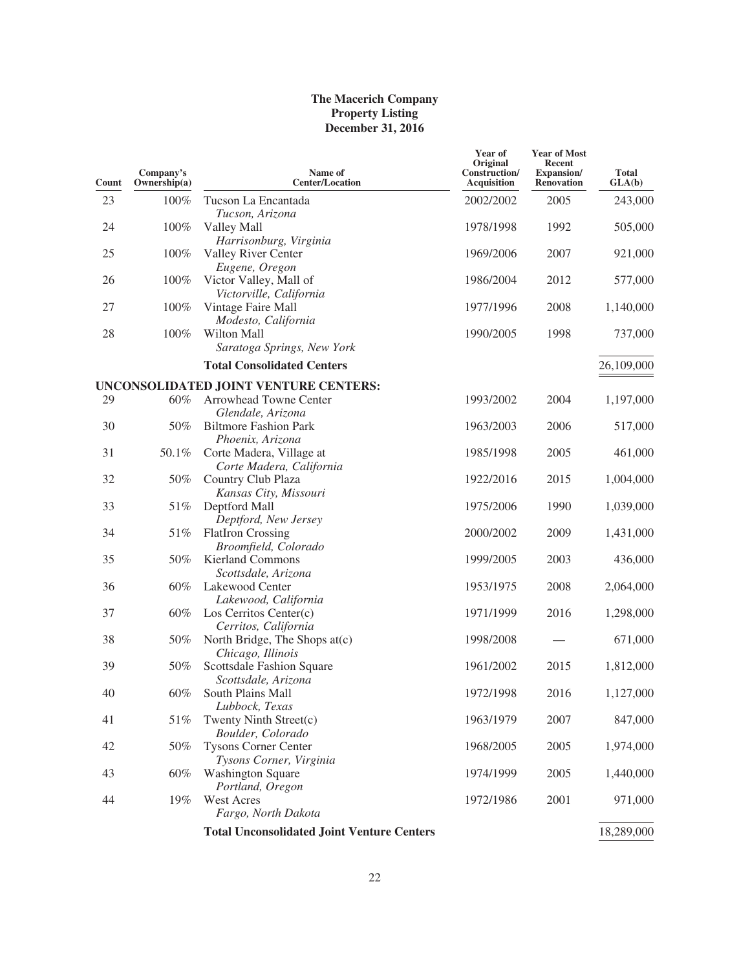| Count | Company's<br>Ownership(a) | Name of<br><b>Center/Location</b>                      | Year of<br>Original<br>Construction/<br>Acquisition | <b>Year of Most</b><br>Recent<br>Expansion/<br><b>Renovation</b> | <b>Total</b><br>GLA(b) |
|-------|---------------------------|--------------------------------------------------------|-----------------------------------------------------|------------------------------------------------------------------|------------------------|
| 23    | 100%                      | Tucson La Encantada<br>Tucson, Arizona                 | 2002/2002                                           | 2005                                                             | 243,000                |
| 24    | 100%                      | Valley Mall<br>Harrisonburg, Virginia                  | 1978/1998                                           | 1992                                                             | 505,000                |
| 25    | 100%                      | Valley River Center<br>Eugene, Oregon                  | 1969/2006                                           | 2007                                                             | 921,000                |
| 26    | 100%                      | Victor Valley, Mall of<br>Victorville, California      | 1986/2004                                           | 2012                                                             | 577,000                |
| 27    | 100%                      | Vintage Faire Mall<br>Modesto, California              | 1977/1996                                           | 2008                                                             | 1,140,000              |
| 28    | 100%                      | Wilton Mall<br>Saratoga Springs, New York              | 1990/2005                                           | 1998                                                             | 737,000                |
|       |                           | <b>Total Consolidated Centers</b>                      |                                                     |                                                                  | 26,109,000             |
|       |                           | UNCONSOLIDATED JOINT VENTURE CENTERS:                  |                                                     |                                                                  |                        |
| 29    | 60%                       | Arrowhead Towne Center<br>Glendale, Arizona            | 1993/2002                                           | 2004                                                             | 1,197,000              |
| 30    | 50%                       | <b>Biltmore Fashion Park</b><br>Phoenix, Arizona       | 1963/2003                                           | 2006                                                             | 517,000                |
| 31    | 50.1%                     | Corte Madera, Village at<br>Corte Madera, California   | 1985/1998                                           | 2005                                                             | 461,000                |
| 32    | 50%                       | Country Club Plaza<br>Kansas City, Missouri            | 1922/2016                                           | 2015                                                             | 1,004,000              |
| 33    | 51%                       | Deptford Mall<br>Deptford, New Jersey                  | 1975/2006                                           | 1990                                                             | 1,039,000              |
| 34    | 51%                       | <b>FlatIron Crossing</b><br>Broomfield, Colorado       | 2000/2002                                           | 2009                                                             | 1,431,000              |
| 35    | 50%                       | <b>Kierland Commons</b><br>Scottsdale, Arizona         | 1999/2005                                           | 2003                                                             | 436,000                |
| 36    | 60%                       | Lakewood Center<br>Lakewood, California                | 1953/1975                                           | 2008                                                             | 2,064,000              |
| 37    | $60\%$                    | Los Cerritos Center(c)<br>Cerritos, California         | 1971/1999                                           | 2016                                                             | 1,298,000              |
| 38    | 50%                       | North Bridge, The Shops at(c)<br>Chicago, Illinois     | 1998/2008                                           |                                                                  | 671,000                |
| 39    | 50%                       | Scottsdale Fashion Square<br>Scottsdale, Arizona       | 1961/2002                                           | 2015                                                             | 1,812,000              |
| 40    | 60%                       | South Plains Mall<br>Lubbock, Texas                    | 1972/1998                                           | 2016                                                             | 1,127,000              |
| 41    | 51%                       | Twenty Ninth Street(c)<br>Boulder, Colorado            | 1963/1979                                           | 2007                                                             | 847,000                |
| 42    | 50%                       | <b>Tysons Corner Center</b><br>Tysons Corner, Virginia | 1968/2005                                           | 2005                                                             | 1,974,000              |
| 43    | $60\%$                    | <b>Washington Square</b><br>Portland, Oregon           | 1974/1999                                           | 2005                                                             | 1,440,000              |
| 44    | 19%                       | West Acres<br>Fargo, North Dakota                      | 1972/1986                                           | 2001                                                             | 971,000                |
|       |                           | <b>Total Unconsolidated Joint Venture Centers</b>      |                                                     |                                                                  | 18,289,000             |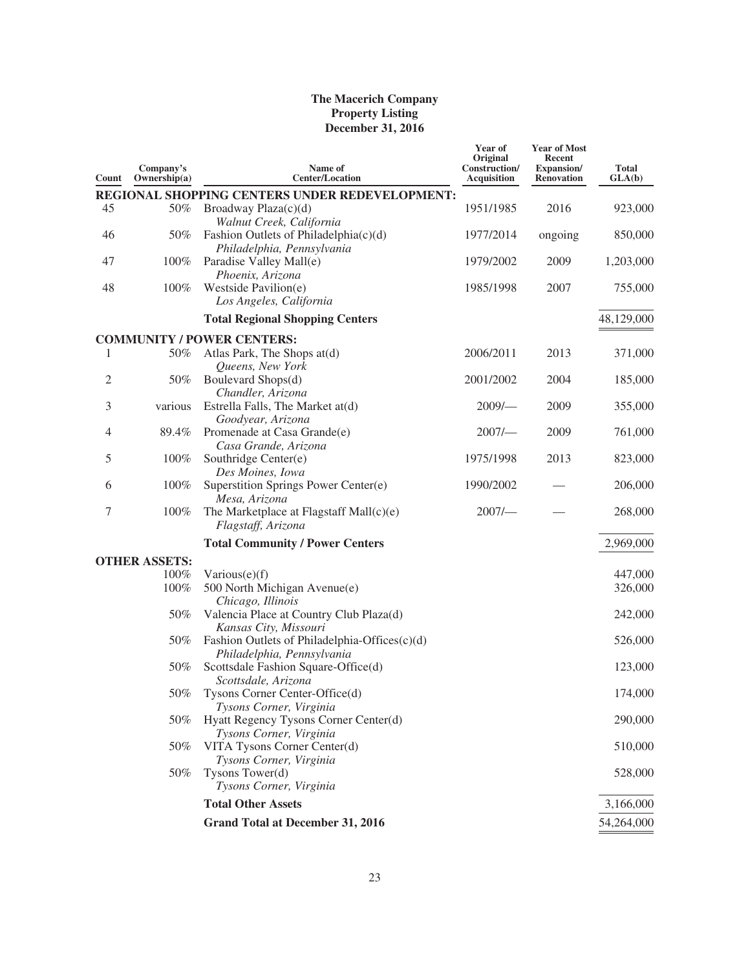| Count          | Company's<br>Ownership $(a)$ | Name of<br><b>Center/Location</b>                                           | Year of<br>Original<br>Construction/<br><b>Acquisition</b> | <b>Year of Most</b><br>Recent<br>Expansion/<br><b>Renovation</b> | <b>Total</b><br>GLA(b) |
|----------------|------------------------------|-----------------------------------------------------------------------------|------------------------------------------------------------|------------------------------------------------------------------|------------------------|
|                |                              | REGIONAL SHOPPING CENTERS UNDER REDEVELOPMENT:                              |                                                            |                                                                  |                        |
| 45             | 50%                          | Broadway Plaza(c)(d)<br>Walnut Creek, California                            | 1951/1985                                                  | 2016                                                             | 923,000                |
| 46             | 50%                          | Fashion Outlets of Philadelphia $(c)(d)$<br>Philadelphia, Pennsylvania      | 1977/2014                                                  | ongoing                                                          | 850,000                |
| 47             | $100\%$                      | Paradise Valley Mall(e)<br>Phoenix, Arizona                                 | 1979/2002                                                  | 2009                                                             | 1,203,000              |
| 48             | 100%                         | Westside Pavilion(e)<br>Los Angeles, California                             | 1985/1998                                                  | 2007                                                             | 755,000                |
|                |                              | <b>Total Regional Shopping Centers</b>                                      |                                                            |                                                                  | 48,129,000             |
|                |                              | <b>COMMUNITY / POWER CENTERS:</b>                                           |                                                            |                                                                  |                        |
| 1              | 50%                          | Atlas Park, The Shops at(d)<br>Queens, New York                             | 2006/2011                                                  | 2013                                                             | 371,000                |
| $\overline{2}$ | 50%                          | Boulevard Shops(d)<br>Chandler, Arizona                                     | 2001/2002                                                  | 2004                                                             | 185,000                |
| 3              | various                      | Estrella Falls, The Market at(d)<br>Goodyear, Arizona                       | 2009/                                                      | 2009                                                             | 355,000                |
| 4              | 89.4%                        | Promenade at Casa Grande(e)<br>Casa Grande, Arizona                         | 2007/                                                      | 2009                                                             | 761,000                |
| 5              | 100%                         | Southridge Center(e)<br>Des Moines, Iowa                                    | 1975/1998                                                  | 2013                                                             | 823,000                |
| 6              | 100%                         | Superstition Springs Power Center(e)<br>Mesa, Arizona                       | 1990/2002                                                  |                                                                  | 206,000                |
| 7              | 100%                         | The Marketplace at Flagstaff Mall(c)(e)<br>Flagstaff, Arizona               | $2007/-$                                                   |                                                                  | 268,000                |
|                |                              | <b>Total Community / Power Centers</b>                                      |                                                            |                                                                  | 2,969,000              |
|                | <b>OTHER ASSETS:</b>         |                                                                             |                                                            |                                                                  |                        |
|                | 100%                         | Various $(e)(f)$                                                            |                                                            |                                                                  | 447,000                |
|                | 100%                         | 500 North Michigan Avenue(e)<br>Chicago, Illinois                           |                                                            |                                                                  | 326,000                |
|                | 50%                          | Valencia Place at Country Club Plaza(d)<br>Kansas City, Missouri            |                                                            |                                                                  | 242,000                |
|                | 50%                          | Fashion Outlets of Philadelphia-Offices(c)(d)<br>Philadelphia, Pennsylvania |                                                            |                                                                  | 526,000                |
|                | 50%                          | Scottsdale Fashion Square-Office(d)<br>Scottsdale, Arizona                  |                                                            |                                                                  | 123,000                |
|                | 50%                          | Tysons Corner Center-Office(d)<br>Tysons Corner, Virginia                   |                                                            |                                                                  | 174,000                |
|                | 50%                          | Hyatt Regency Tysons Corner Center(d)<br>Tysons Corner, Virginia            |                                                            |                                                                  | 290,000                |
|                | 50%                          | VITA Tysons Corner Center(d)<br>Tysons Corner, Virginia                     |                                                            |                                                                  | 510,000                |
|                | 50%                          | Tysons Tower(d)<br>Tysons Corner, Virginia                                  |                                                            |                                                                  | 528,000                |
|                |                              | <b>Total Other Assets</b>                                                   |                                                            |                                                                  | 3,166,000              |
|                |                              | <b>Grand Total at December 31, 2016</b>                                     |                                                            |                                                                  | 54,264,000             |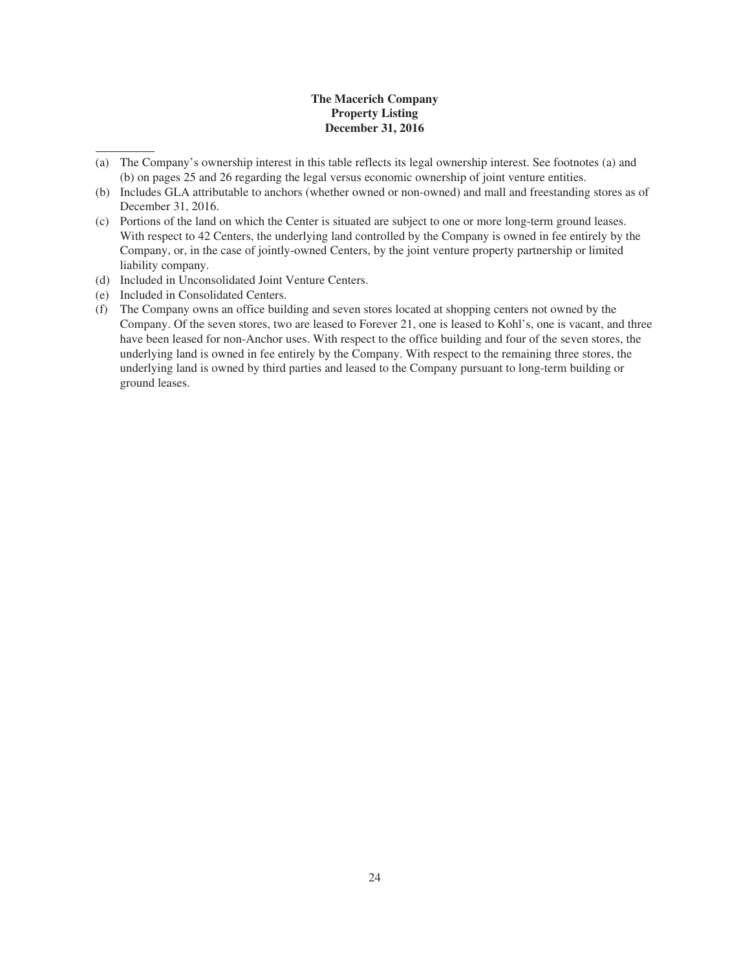- (a) The Company's ownership interest in this table reflects its legal ownership interest. See footnotes (a) and (b) on pages 25 and 26 regarding the legal versus economic ownership of joint venture entities.
- (b) Includes GLA attributable to anchors (whether owned or non-owned) and mall and freestanding stores as of December 31, 2016.
- (c) Portions of the land on which the Center is situated are subject to one or more long-term ground leases. With respect to 42 Centers, the underlying land controlled by the Company is owned in fee entirely by the Company, or, in the case of jointly-owned Centers, by the joint venture property partnership or limited liability company.
- (d) Included in Unconsolidated Joint Venture Centers.
- (e) Included in Consolidated Centers.
- (f) The Company owns an office building and seven stores located at shopping centers not owned by the Company. Of the seven stores, two are leased to Forever 21, one is leased to Kohl's, one is vacant, and three have been leased for non-Anchor uses. With respect to the office building and four of the seven stores, the underlying land is owned in fee entirely by the Company. With respect to the remaining three stores, the underlying land is owned by third parties and leased to the Company pursuant to long-term building or ground leases.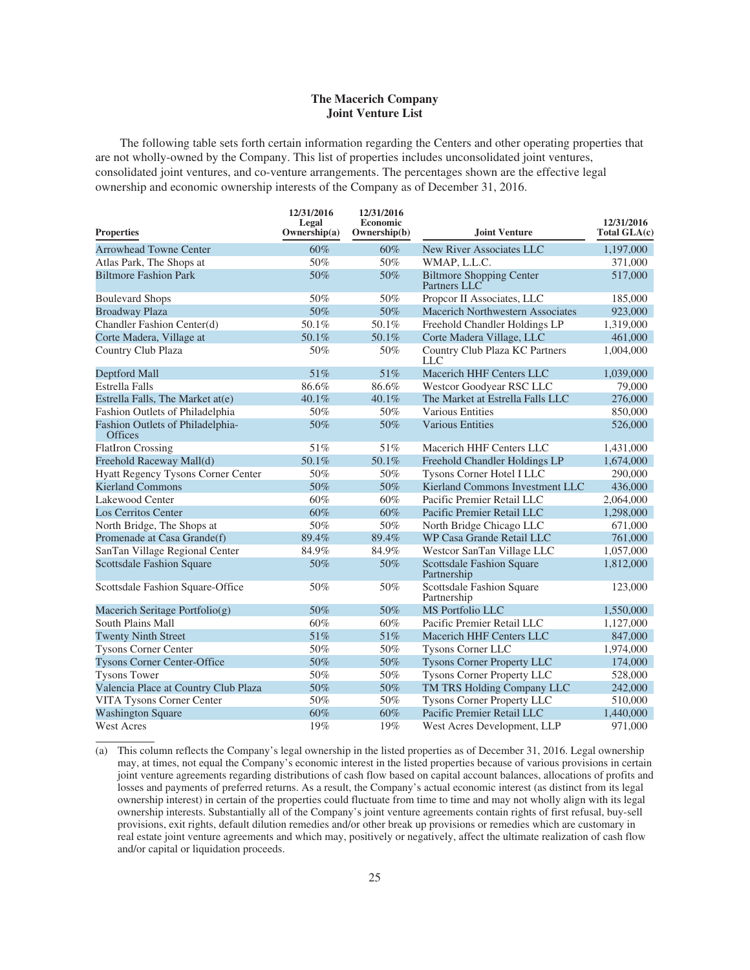### **The Macerich Company Joint Venture List**

The following table sets forth certain information regarding the Centers and other operating properties that are not wholly-owned by the Company. This list of properties includes unconsolidated joint ventures, consolidated joint ventures, and co-venture arrangements. The percentages shown are the effective legal ownership and economic ownership interests of the Company as of December 31, 2016.

| <b>Properties</b>                                  | 12/31/2016<br>Legal<br>Ownership(a) | 12/31/2016<br><b>Economic</b><br>Ownership(b) | <b>Joint Venture</b>                            | 12/31/2016<br>Total GLA(c) |
|----------------------------------------------------|-------------------------------------|-----------------------------------------------|-------------------------------------------------|----------------------------|
| <b>Arrowhead Towne Center</b>                      | 60%                                 | 60%                                           | New River Associates LLC                        | 1,197,000                  |
| Atlas Park, The Shops at                           | 50%                                 | 50%                                           | WMAP, L.L.C.                                    | 371,000                    |
| <b>Biltmore Fashion Park</b>                       | 50%                                 | 50%                                           | <b>Biltmore Shopping Center</b><br>Partners LLC | 517,000                    |
| <b>Boulevard Shops</b>                             | 50%                                 | 50%                                           | Propcor II Associates, LLC                      | 185,000                    |
| <b>Broadway Plaza</b>                              | 50%                                 | 50%                                           | Macerich Northwestern Associates                | 923,000                    |
| Chandler Fashion Center(d)                         | 50.1%                               | 50.1%                                         | Freehold Chandler Holdings LP                   | 1,319,000                  |
| Corte Madera, Village at                           | 50.1%                               | 50.1%                                         | Corte Madera Village, LLC                       | 461,000                    |
| Country Club Plaza                                 | 50%                                 | 50%                                           | Country Club Plaza KC Partners<br>LLC           | 1,004,000                  |
| Deptford Mall                                      | 51%                                 | 51%                                           | Macerich HHF Centers LLC                        | 1,039,000                  |
| <b>Estrella Falls</b>                              | 86.6%                               | 86.6%                                         | Westcor Goodyear RSC LLC                        | 79,000                     |
| Estrella Falls, The Market at(e)                   | 40.1%                               | 40.1%                                         | The Market at Estrella Falls LLC                | 276,000                    |
| Fashion Outlets of Philadelphia                    | 50%                                 | 50%                                           | <b>Various Entities</b>                         | 850,000                    |
| Fashion Outlets of Philadelphia-<br><b>Offices</b> | 50%                                 | 50%                                           | <b>Various Entities</b>                         | 526,000                    |
| <b>FlatIron Crossing</b>                           | 51%                                 | 51%                                           | Macerich HHF Centers LLC                        | 1,431,000                  |
| Freehold Raceway Mall(d)                           | 50.1%                               | 50.1%                                         | Freehold Chandler Holdings LP                   | 1,674,000                  |
| Hyatt Regency Tysons Corner Center                 | 50%                                 | 50%                                           | Tysons Corner Hotel I LLC                       | 290,000                    |
| Kierland Commons                                   | 50%                                 | 50%                                           | Kierland Commons Investment LLC                 | 436,000                    |
| Lakewood Center                                    | 60%                                 | 60%                                           | Pacific Premier Retail LLC                      | 2,064,000                  |
| <b>Los Cerritos Center</b>                         | 60%                                 | 60%                                           | Pacific Premier Retail LLC                      | 1,298,000                  |
| North Bridge, The Shops at                         | 50%                                 | 50%                                           | North Bridge Chicago LLC                        | 671,000                    |
| Promenade at Casa Grande(f)                        | 89.4%                               | 89.4%                                         | WP Casa Grande Retail LLC                       | 761,000                    |
| SanTan Village Regional Center                     | 84.9%                               | 84.9%                                         | Westcor SanTan Village LLC                      | 1,057,000                  |
| <b>Scottsdale Fashion Square</b>                   | 50%                                 | 50%                                           | <b>Scottsdale Fashion Square</b><br>Partnership | 1,812,000                  |
| Scottsdale Fashion Square-Office                   | 50%                                 | 50%                                           | Scottsdale Fashion Square<br>Partnership        | 123,000                    |
| Macerich Seritage Portfolio(g)                     | 50%                                 | 50%                                           | <b>MS</b> Portfolio LLC                         | 1,550,000                  |
| South Plains Mall                                  | 60%                                 | 60%                                           | Pacific Premier Retail LLC                      | 1,127,000                  |
| <b>Twenty Ninth Street</b>                         | 51%                                 | 51%                                           | Macerich HHF Centers LLC                        | 847,000                    |
| <b>Tysons Corner Center</b>                        | 50%                                 | 50%                                           | <b>Tysons Corner LLC</b>                        | 1,974,000                  |
| <b>Tysons Corner Center-Office</b>                 | 50%                                 | 50%                                           | <b>Tysons Corner Property LLC</b>               | 174,000                    |
| <b>Tysons Tower</b>                                | 50%                                 | 50%                                           | <b>Tysons Corner Property LLC</b>               | 528,000                    |
| Valencia Place at Country Club Plaza               | 50%                                 | 50%                                           | TM TRS Holding Company LLC                      | 242,000                    |
| VITA Tysons Corner Center                          | 50%                                 | 50%                                           | <b>Tysons Corner Property LLC</b>               | 510,000                    |
| <b>Washington Square</b>                           | 60%                                 | 60%                                           | Pacific Premier Retail LLC                      | 1,440,000                  |
| <b>West Acres</b>                                  | 19%                                 | 19%                                           | West Acres Development, LLP                     | 971,000                    |

(a) This column reflects the Company's legal ownership in the listed properties as of December 31, 2016. Legal ownership may, at times, not equal the Company's economic interest in the listed properties because of various provisions in certain joint venture agreements regarding distributions of cash flow based on capital account balances, allocations of profits and losses and payments of preferred returns. As a result, the Company's actual economic interest (as distinct from its legal ownership interest) in certain of the properties could fluctuate from time to time and may not wholly align with its legal ownership interests. Substantially all of the Company's joint venture agreements contain rights of first refusal, buy-sell provisions, exit rights, default dilution remedies and/or other break up provisions or remedies which are customary in real estate joint venture agreements and which may, positively or negatively, affect the ultimate realization of cash flow and/or capital or liquidation proceeds.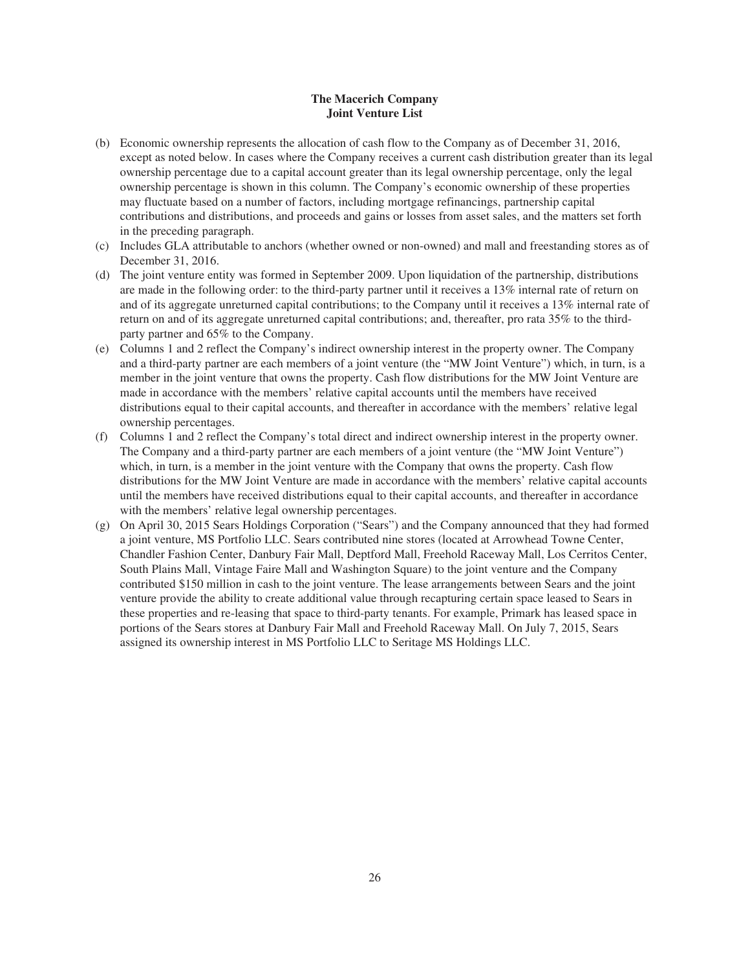### **The Macerich Company Joint Venture List**

- (b) Economic ownership represents the allocation of cash flow to the Company as of December 31, 2016, except as noted below. In cases where the Company receives a current cash distribution greater than its legal ownership percentage due to a capital account greater than its legal ownership percentage, only the legal ownership percentage is shown in this column. The Company's economic ownership of these properties may fluctuate based on a number of factors, including mortgage refinancings, partnership capital contributions and distributions, and proceeds and gains or losses from asset sales, and the matters set forth in the preceding paragraph.
- (c) Includes GLA attributable to anchors (whether owned or non-owned) and mall and freestanding stores as of December 31, 2016.
- (d) The joint venture entity was formed in September 2009. Upon liquidation of the partnership, distributions are made in the following order: to the third-party partner until it receives a 13% internal rate of return on and of its aggregate unreturned capital contributions; to the Company until it receives a 13% internal rate of return on and of its aggregate unreturned capital contributions; and, thereafter, pro rata 35% to the thirdparty partner and 65% to the Company.
- (e) Columns 1 and 2 reflect the Company's indirect ownership interest in the property owner. The Company and a third-party partner are each members of a joint venture (the "MW Joint Venture") which, in turn, is a member in the joint venture that owns the property. Cash flow distributions for the MW Joint Venture are made in accordance with the members' relative capital accounts until the members have received distributions equal to their capital accounts, and thereafter in accordance with the members' relative legal ownership percentages.
- (f) Columns 1 and 2 reflect the Company's total direct and indirect ownership interest in the property owner. The Company and a third-party partner are each members of a joint venture (the "MW Joint Venture") which, in turn, is a member in the joint venture with the Company that owns the property. Cash flow distributions for the MW Joint Venture are made in accordance with the members' relative capital accounts until the members have received distributions equal to their capital accounts, and thereafter in accordance with the members' relative legal ownership percentages.
- (g) On April 30, 2015 Sears Holdings Corporation ("Sears") and the Company announced that they had formed a joint venture, MS Portfolio LLC. Sears contributed nine stores (located at Arrowhead Towne Center, Chandler Fashion Center, Danbury Fair Mall, Deptford Mall, Freehold Raceway Mall, Los Cerritos Center, South Plains Mall, Vintage Faire Mall and Washington Square) to the joint venture and the Company contributed \$150 million in cash to the joint venture. The lease arrangements between Sears and the joint venture provide the ability to create additional value through recapturing certain space leased to Sears in these properties and re-leasing that space to third-party tenants. For example, Primark has leased space in portions of the Sears stores at Danbury Fair Mall and Freehold Raceway Mall. On July 7, 2015, Sears assigned its ownership interest in MS Portfolio LLC to Seritage MS Holdings LLC.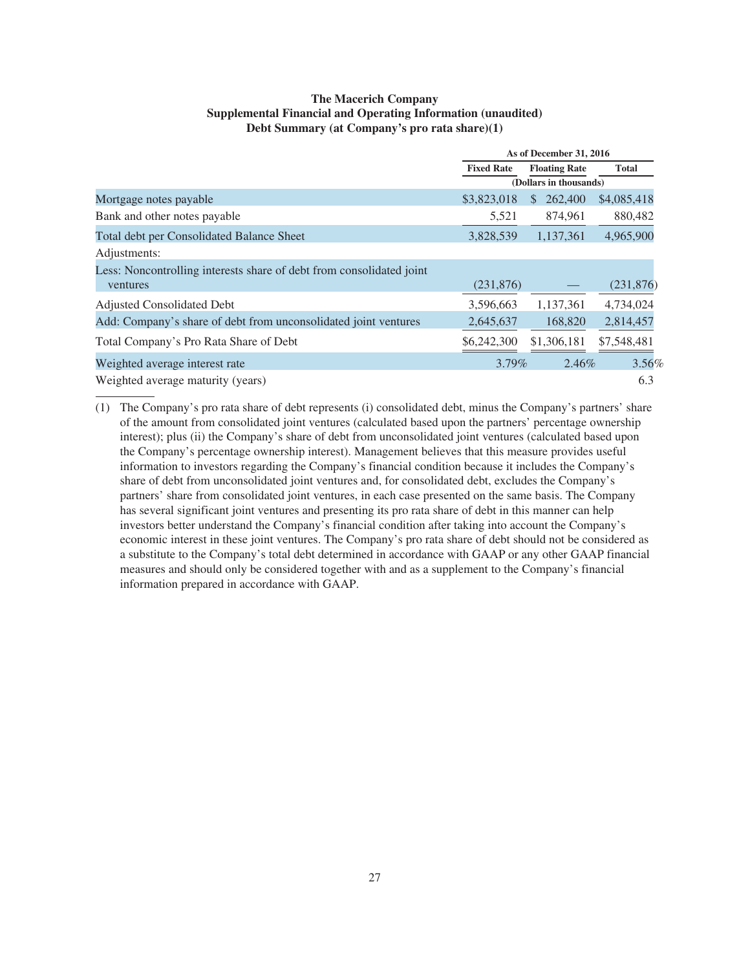### **The Macerich Company Supplemental Financial and Operating Information (unaudited) Debt Summary (at Company's pro rata share)(1)**

|                                                                      |                   | As of December 31, 2016 |              |
|----------------------------------------------------------------------|-------------------|-------------------------|--------------|
|                                                                      | <b>Fixed Rate</b> | <b>Floating Rate</b>    | <b>Total</b> |
|                                                                      |                   | (Dollars in thousands)  |              |
| Mortgage notes payable                                               | \$3,823,018       | 262,400<br>S            | \$4,085,418  |
| Bank and other notes payable                                         | 5,521             | 874,961                 | 880,482      |
| Total debt per Consolidated Balance Sheet                            | 3,828,539         | 1,137,361               | 4,965,900    |
| Adjustments:                                                         |                   |                         |              |
| Less: Noncontrolling interests share of debt from consolidated joint |                   |                         |              |
| ventures                                                             | (231,876)         |                         | (231, 876)   |
| Adjusted Consolidated Debt                                           | 3,596,663         | 1,137,361               | 4,734,024    |
| Add: Company's share of debt from unconsolidated joint ventures      | 2,645,637         | 168,820                 | 2,814,457    |
| Total Company's Pro Rata Share of Debt                               | \$6,242,300       | \$1,306,181             | \$7,548,481  |
| Weighted average interest rate                                       | $3.79\%$          | 2.46%                   | 3.56%        |
| Weighted average maturity (years)                                    |                   |                         | 6.3          |

(1) The Company's pro rata share of debt represents (i) consolidated debt, minus the Company's partners' share of the amount from consolidated joint ventures (calculated based upon the partners' percentage ownership interest); plus (ii) the Company's share of debt from unconsolidated joint ventures (calculated based upon the Company's percentage ownership interest). Management believes that this measure provides useful information to investors regarding the Company's financial condition because it includes the Company's share of debt from unconsolidated joint ventures and, for consolidated debt, excludes the Company's partners' share from consolidated joint ventures, in each case presented on the same basis. The Company has several significant joint ventures and presenting its pro rata share of debt in this manner can help investors better understand the Company's financial condition after taking into account the Company's economic interest in these joint ventures. The Company's pro rata share of debt should not be considered as a substitute to the Company's total debt determined in accordance with GAAP or any other GAAP financial measures and should only be considered together with and as a supplement to the Company's financial information prepared in accordance with GAAP.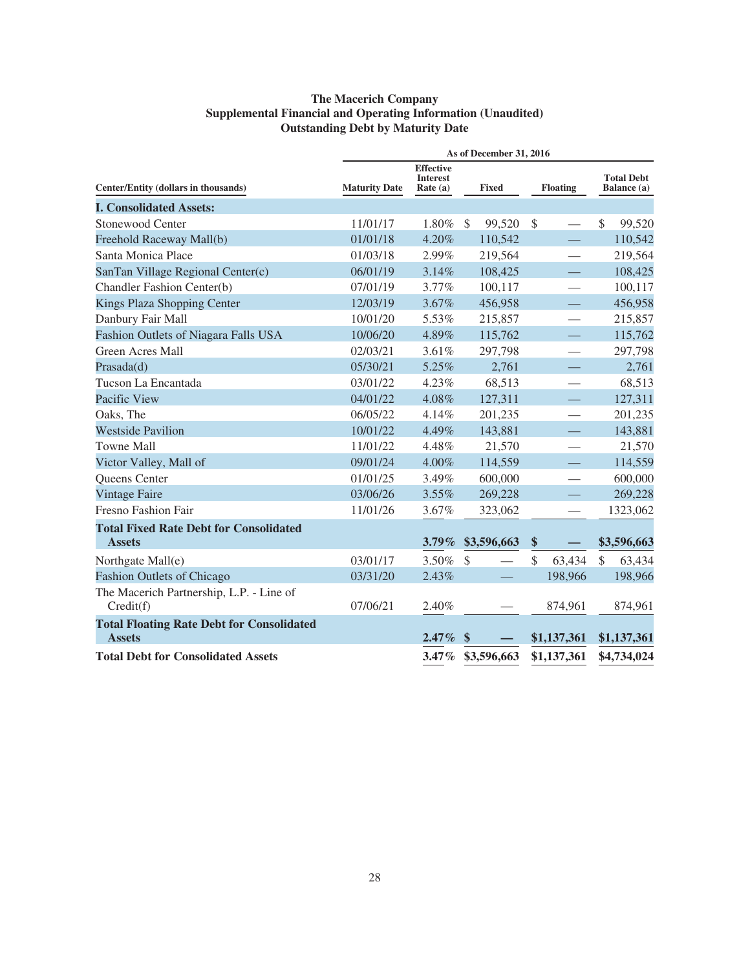### **The Macerich Company Supplemental Financial and Operating Information (Unaudited) Outstanding Debt by Maturity Date**

|                                                                   |                      |                                                   |               | As of December 31, 2016 |               |                                 |               |                                  |
|-------------------------------------------------------------------|----------------------|---------------------------------------------------|---------------|-------------------------|---------------|---------------------------------|---------------|----------------------------------|
| Center/Entity (dollars in thousands)                              | <b>Maturity Date</b> | <b>Effective</b><br><b>Interest</b><br>Rate $(a)$ |               | <b>Fixed</b>            |               | <b>Floating</b>                 |               | <b>Total Debt</b><br>Balance (a) |
| <b>I. Consolidated Assets:</b>                                    |                      |                                                   |               |                         |               |                                 |               |                                  |
| Stonewood Center                                                  | 11/01/17             | 1.80%                                             | <sup>\$</sup> | 99,520                  | $\mathcal{S}$ | $\overline{\phantom{0}}$        | \$            | 99,520                           |
| Freehold Raceway Mall(b)                                          | 01/01/18             | 4.20%                                             |               | 110,542                 |               |                                 |               | 110,542                          |
| Santa Monica Place                                                | 01/03/18             | 2.99%                                             |               | 219,564                 |               |                                 |               | 219,564                          |
| SanTan Village Regional Center(c)                                 | 06/01/19             | 3.14%                                             |               | 108,425                 |               |                                 |               | 108,425                          |
| Chandler Fashion Center(b)                                        | 07/01/19             | 3.77%                                             |               | 100,117                 |               | $\overbrace{\qquad \qquad }^{}$ |               | 100,117                          |
| Kings Plaza Shopping Center                                       | 12/03/19             | 3.67%                                             |               | 456,958                 |               |                                 |               | 456,958                          |
| Danbury Fair Mall                                                 | 10/01/20             | 5.53%                                             |               | 215,857                 |               |                                 |               | 215,857                          |
| Fashion Outlets of Niagara Falls USA                              | 10/06/20             | 4.89%                                             |               | 115,762                 |               |                                 |               | 115,762                          |
| Green Acres Mall                                                  | 02/03/21             | 3.61%                                             |               | 297,798                 |               |                                 |               | 297,798                          |
| Prasada(d)                                                        | 05/30/21             | 5.25%                                             |               | 2,761                   |               |                                 |               | 2,761                            |
| Tucson La Encantada                                               | 03/01/22             | 4.23%                                             |               | 68,513                  |               |                                 |               | 68,513                           |
| Pacific View                                                      | 04/01/22             | 4.08%                                             |               | 127,311                 |               | $\overline{\phantom{0}}$        |               | 127,311                          |
| Oaks, The                                                         | 06/05/22             | 4.14%                                             |               | 201,235                 |               |                                 |               | 201,235                          |
| <b>Westside Pavilion</b>                                          | 10/01/22             | 4.49%                                             |               | 143,881                 |               |                                 |               | 143,881                          |
| <b>Towne Mall</b>                                                 | 11/01/22             | 4.48%                                             |               | 21,570                  |               |                                 |               | 21,570                           |
| Victor Valley, Mall of                                            | 09/01/24             | 4.00%                                             |               | 114,559                 |               |                                 |               | 114,559                          |
| Queens Center                                                     | 01/01/25             | 3.49%                                             |               | 600,000                 |               |                                 |               | 600,000                          |
| <b>Vintage Faire</b>                                              | 03/06/26             | 3.55%                                             |               | 269,228                 |               |                                 |               | 269,228                          |
| Fresno Fashion Fair                                               | 11/01/26             | 3.67%                                             |               | 323,062                 |               | $\overline{\phantom{0}}$        |               | 1323,062                         |
| <b>Total Fixed Rate Debt for Consolidated</b><br><b>Assets</b>    |                      | $3.79\%$                                          |               | \$3,596,663             | \$            |                                 |               | \$3,596,663                      |
| Northgate Mall(e)                                                 | 03/01/17             | 3.50%                                             | $\mathcal{S}$ |                         | $\mathcal{S}$ | 63,434                          | $\mathcal{S}$ | 63,434                           |
| <b>Fashion Outlets of Chicago</b>                                 | 03/31/20             | 2.43%                                             |               |                         |               | 198,966                         |               | 198,966                          |
| The Macerich Partnership, L.P. - Line of<br>Credit(f)             | 07/06/21             | 2.40%                                             |               |                         |               | 874,961                         |               | 874,961                          |
| <b>Total Floating Rate Debt for Consolidated</b><br><b>Assets</b> |                      | $2.47\%$                                          | $\mathbf{\$}$ |                         |               | \$1,137,361                     |               | \$1,137,361                      |
| <b>Total Debt for Consolidated Assets</b>                         |                      | $3.47\%$                                          |               | \$3,596,663             |               | \$1,137,361                     |               | \$4,734,024                      |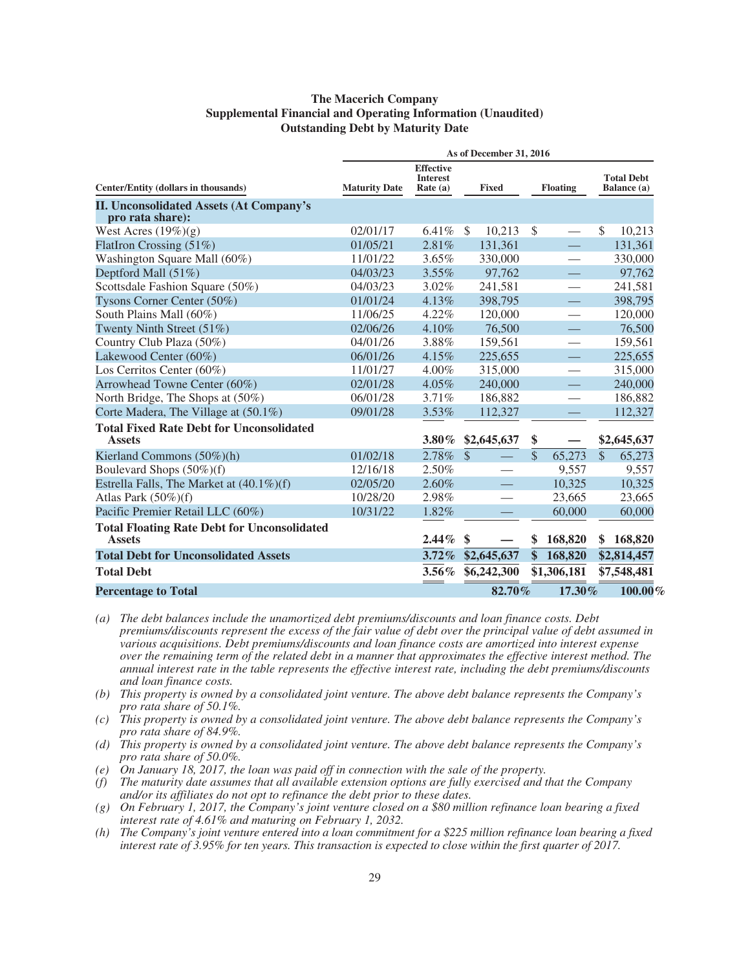### **The Macerich Company Supplemental Financial and Operating Information (Unaudited) Outstanding Debt by Maturity Date**

|                                                                     |                      |                                                   | As of December 31, 2016 |                    |                 |               |                                  |
|---------------------------------------------------------------------|----------------------|---------------------------------------------------|-------------------------|--------------------|-----------------|---------------|----------------------------------|
| Center/Entity (dollars in thousands)                                | <b>Maturity Date</b> | <b>Effective</b><br><b>Interest</b><br>Rate $(a)$ | <b>Fixed</b>            |                    | <b>Floating</b> |               | <b>Total Debt</b><br>Balance (a) |
| <b>II. Unconsolidated Assets (At Company's</b><br>pro rata share):  |                      |                                                   |                         |                    |                 |               |                                  |
| West Acres $(19\%)(g)$                                              | 02/01/17             | $6.41\%$                                          | - \$<br>10,213          | $\mathbb{S}$       |                 | \$            | 10,213                           |
| FlatIron Crossing $(51\%)$                                          | 01/05/21             | 2.81%                                             | 131.361                 |                    |                 |               | 131,361                          |
| Washington Square Mall (60%)                                        | 11/01/22             | 3.65%                                             | 330,000                 |                    |                 |               | 330,000                          |
| Deptford Mall (51%)                                                 | 04/03/23             | 3.55%                                             | 97,762                  |                    |                 |               | 97,762                           |
| Scottsdale Fashion Square (50%)                                     | 04/03/23             | $3.02\%$                                          | 241,581                 |                    |                 |               | 241,581                          |
| Tysons Corner Center (50%)                                          | 01/01/24             | 4.13%                                             | 398,795                 |                    |                 |               | 398,795                          |
| South Plains Mall (60%)                                             | 11/06/25             | 4.22%                                             | 120,000                 |                    |                 |               | 120,000                          |
| Twenty Ninth Street (51%)                                           | 02/06/26             | 4.10%                                             | 76,500                  |                    |                 |               | 76,500                           |
| Country Club Plaza (50%)                                            | 04/01/26             | 3.88%                                             | 159,561                 |                    |                 |               | 159,561                          |
| Lakewood Center (60%)                                               | 06/01/26             | 4.15%                                             | 225,655                 |                    |                 |               | 225,655                          |
| Los Cerritos Center (60%)                                           | 11/01/27             | 4.00%                                             | 315,000                 |                    |                 |               | 315,000                          |
| Arrowhead Towne Center (60%)                                        | 02/01/28             | 4.05%                                             | 240,000                 |                    |                 |               | 240,000                          |
| North Bridge, The Shops at (50%)                                    | 06/01/28             | 3.71%                                             | 186,882                 |                    |                 |               | 186,882                          |
| Corte Madera, The Village at (50.1%)                                | 09/01/28             | $3.53\%$                                          | 112,327                 |                    |                 |               | 112,327                          |
| <b>Total Fixed Rate Debt for Unconsolidated</b><br><b>Assets</b>    |                      | $3.80\%$                                          | \$2,645,637             | \$                 |                 |               | \$2,645,637                      |
| Kierland Commons (50%)(h)                                           | 01/02/18             | 2.78%                                             | $\mathcal{S}$           | $\mathcal{S}$      | 65,273          | $\mathcal{S}$ | 65,273                           |
| Boulevard Shops (50%)(f)                                            | 12/16/18             | 2.50%                                             |                         |                    | 9.557           |               | 9,557                            |
| Estrella Falls, The Market at (40.1%)(f)                            | 02/05/20             | 2.60%                                             |                         |                    | 10,325          |               | 10,325                           |
| Atlas Park $(50\%)$ (f)                                             | 10/28/20             | 2.98%                                             |                         |                    | 23,665          |               | 23,665                           |
| Pacific Premier Retail LLC (60%)                                    | 10/31/22             | 1.82%                                             |                         |                    | 60,000          |               | 60,000                           |
| <b>Total Floating Rate Debt for Unconsolidated</b><br><b>Assets</b> |                      | 2.44%                                             | \$                      | S                  | 168,820         | \$            | 168,820                          |
| <b>Total Debt for Unconsolidated Assets</b>                         |                      | $3.72\%$                                          | \$2,645,637             | $\hat{\mathbf{s}}$ | 168,820         |               | \$2,814,457                      |
| <b>Total Debt</b>                                                   |                      | $3.56\%$                                          | \$6,242,300             |                    | \$1,306,181     |               | \$7,548,481                      |
| <b>Percentage to Total</b>                                          |                      |                                                   | 82.70%                  |                    | 17.30%          |               | $100.00\%$                       |

*(a) The debt balances include the unamortized debt premiums/discounts and loan finance costs. Debt premiums/discounts represent the excess of the fair value of debt over the principal value of debt assumed in various acquisitions. Debt premiums/discounts and loan finance costs are amortized into interest expense over the remaining term of the related debt in a manner that approximates the effective interest method. The annual interest rate in the table represents the effective interest rate, including the debt premiums/discounts and loan finance costs.*

- *(b) This property is owned by a consolidated joint venture. The above debt balance represents the Company's pro rata share of 50.1%.*
- *(c) This property is owned by a consolidated joint venture. The above debt balance represents the Company's pro rata share of 84.9%.*
- *(d) This property is owned by a consolidated joint venture. The above debt balance represents the Company's pro rata share of 50.0%.*
- *(e) On January 18, 2017, the loan was paid off in connection with the sale of the property.*
- *(f) The maturity date assumes that all available extension options are fully exercised and that the Company and/or its affiliates do not opt to refinance the debt prior to these dates.*
- *(g) On February 1, 2017, the Company's joint venture closed on a \$80 million refinance loan bearing a fixed interest rate of 4.61% and maturing on February 1, 2032.*
- *(h) The Company's joint venture entered into a loan commitment for a \$225 million refinance loan bearing a fixed interest rate of 3.95% for ten years. This transaction is expected to close within the first quarter of 2017.*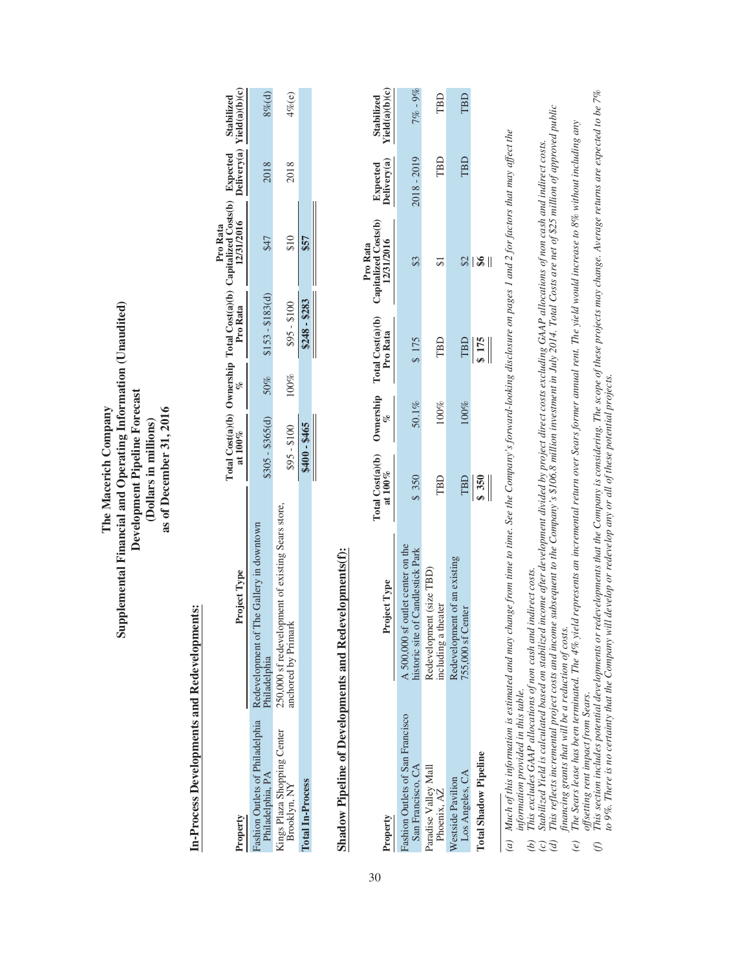### Supplemental Financial and Operating Information (Unaudited) **Supplemental Financial and Operating Information (Unaudited)** Development Pipeline Forecast **Development Pipeline Forecast** The Macerich Company as of December 31, 2016 **The Macerich Company as of December 31, 2016** (Dollars in millions) **(Dollars in millions)**

## In-Process Developments and Redevelopments: **In-Process Developments and Redevelopments:**

|                                                    |                                                                                  |                  |      |                         | Pro Rata                                                                                                                                                      |      |           |
|----------------------------------------------------|----------------------------------------------------------------------------------|------------------|------|-------------------------|---------------------------------------------------------------------------------------------------------------------------------------------------------------|------|-----------|
| Property                                           | Project Type                                                                     |                  |      |                         | [otal Cost(a)(b) Ownership Total Cost(a)(b) Capitalized Costs(b) Expected Stabilized<br>at 100% $\frac{\%}{\%}$ Pro Rata 1231/2016 Delivery(a) Yield(a)(b)(c) |      |           |
| ashion Outlets of Philadelphia<br>Philadelphia, PA | of The Gallery in downtown<br>Redevelopment<br><sup>2</sup> hiladelphia          | $$305 - $365(d)$ |      | $50\%$ \$153 - \$183(d) | \$47                                                                                                                                                          | 2018 | $3\%$ (d) |
| Kings Plaza Shopping Center<br>Brooklyn, NY        | elopment of existing Sears store,<br>250,000 sf redevelop<br>unchored by Primark | $$95 - $100$     | 100% | $$95 - $100$            | $\frac{10}{2}$                                                                                                                                                | 2018 | $4\%$ (e) |
| <b>Cotal In-Process</b>                            |                                                                                  | \$400-\$465      |      | $$248 - $283$           |                                                                                                                                                               |      |           |

# Shadow Pipeline of Developments and Redevelopments(f): **Shadow Pipeline of Developments and Redevelopments(f):**

| Property                                             | Project Type                                                           | Fotal Cost(a)(b) Ownership<br>at $100\%$ |          | Total Cost(a)(b)<br>Pro Rata  | Pro Rata<br>Capitalized Costs(b)<br>$\frac{12/31/2016}{12/31/2016}$ b. | Expected<br>Delivery(a) | Stabilized<br><u>Yield(a)(b)(c)</u> |
|------------------------------------------------------|------------------------------------------------------------------------|------------------------------------------|----------|-------------------------------|------------------------------------------------------------------------|-------------------------|-------------------------------------|
|                                                      |                                                                        |                                          |          |                               |                                                                        |                         |                                     |
| ashion Outlets of San Francisco<br>San Francisco, CA | A 500,000 sf outlet center on the<br>historic site of Candlestick Park | \$350                                    | $50.1\%$ | \$175                         |                                                                        | 2018 - 2019             | $7\%$ - 9%                          |
| Paradise Valley Mall<br>Phoenix, AZ                  | Redevelopment (size TBD)<br>including a theater                        | TBD                                      | 100%     | TBD                           |                                                                        | TBD                     | ГBD                                 |
| Los Angeles, CA<br>Westside Pavilion                 | Redevelopment of an existing<br>Center<br>755,000 sf                   |                                          | 00%      |                               |                                                                        | TBD                     | TBD                                 |
| <b>Total Shadow Pipeline</b>                         |                                                                        | $\frac{\text{TBD}}{\text{s}}$            |          | $\frac{\text{TBD}}{\text{S}}$ | $\mid$                                                                 |                         |                                     |
|                                                      |                                                                        |                                          |          |                               |                                                                        |                         |                                     |

(a) Much of this information is estimated and may change from time to time. See the Company's forward-looking disclosure on pages 1 and 2 for factors that may affect the (a) Much of this information is estimated and may change from time to time. See the Company's forward-looking disclosure on pages 1 and 2 for factors that may affect the information provided in this table. *information provided in this table.*

This excludes GAAP allocations of non cash and indirect costs. *(b) This excludes GAAP allocations of non cash and indirect costs.*

Stabilized Yield is calculated based on stabilized income after development divided by project direct costs excluding GAAP allocations of non cash and indirect costs.<br>This reflects incremental project costs and income subs (c) Stabilized Yield is calculated based on stabilized income after development divided by project direct costs excluding GAAP allocations of non cash and indirect costs.  $\widehat{e} \, \widehat{c} \, \widehat{e}$ 

(d) This reflects incremental project costs and income subsequent to the Company's \$106.8 million investment in July 2014. Total Costs are net of \$25 million of approved public financing grants that will be a reduction of costs. *financing grants that will be a reduction of costs.*

The Sears lease has been terminated. The 4% yield represents an incremental return over Sears former amual rent. The yield would increase to 8% without including any e) The Sears lease has been terminated. The 4% yield represents an incremental return over Sears former annual rent. The yield would increase to 8% without including any *offsetting rent impact from Sears.*  $\left( e\right)$ 

offsetting rent impact from Sears.<br>This section includes potential developments or redevelopments that the Company is considering. The scope of these projects may change. Average returns are expected to be 7%<br>This section (f) This section includes potential developments or redevelopments that the Company is considering. The scope of these projects may change. Average returns are expected to be 7% to 9%. There is no certainty that the Company will develop or redevelop any or all of these potential projects. to 9%. There is no certainty that the Company will develop or redevelop any or all of these potential projects.  $\odot$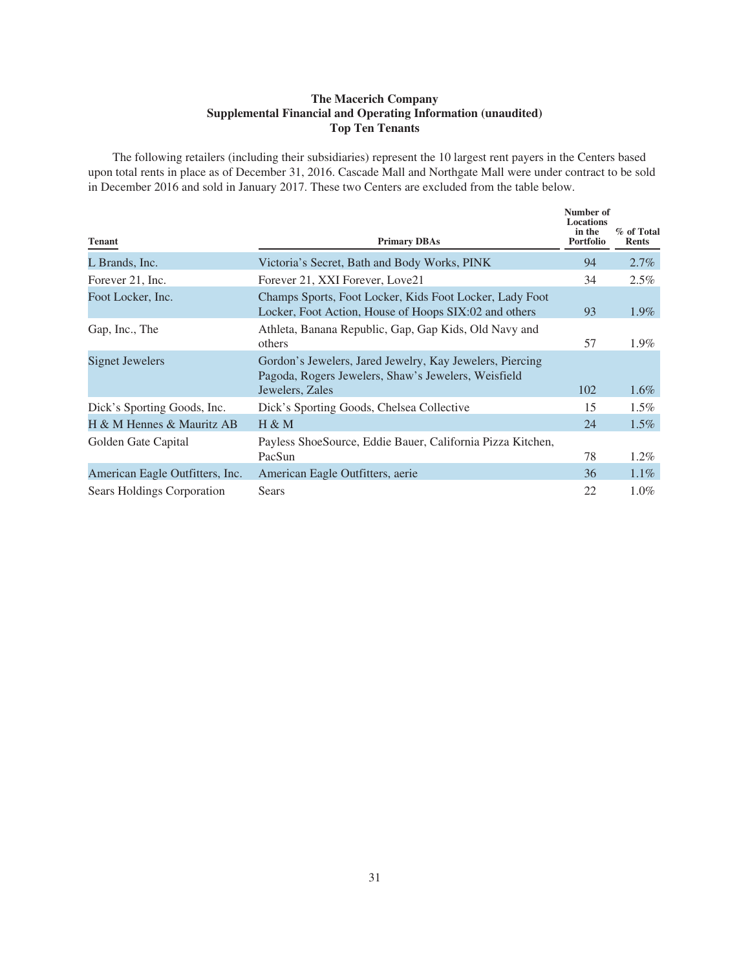### **The Macerich Company Supplemental Financial and Operating Information (unaudited) Top Ten Tenants**

The following retailers (including their subsidiaries) represent the 10 largest rent payers in the Centers based upon total rents in place as of December 31, 2016. Cascade Mall and Northgate Mall were under contract to be sold in December 2016 and sold in January 2017. These two Centers are excluded from the table below.

| <b>Tenant</b>                     | <b>Primary DBAs</b>                                                                                                                | Number of<br><b>Locations</b><br>in the<br><b>Portfolio</b> | % of Total<br><b>Rents</b> |
|-----------------------------------|------------------------------------------------------------------------------------------------------------------------------------|-------------------------------------------------------------|----------------------------|
| L Brands, Inc.                    | Victoria's Secret, Bath and Body Works, PINK                                                                                       | 94                                                          | $2.7\%$                    |
| Forever 21, Inc.                  | Forever 21, XXI Forever, Love21                                                                                                    | 34                                                          | 2.5%                       |
| Foot Locker, Inc.                 | Champs Sports, Foot Locker, Kids Foot Locker, Lady Foot<br>Locker, Foot Action, House of Hoops SIX:02 and others                   | 93                                                          | $1.9\%$                    |
| Gap, Inc., The                    | Athleta, Banana Republic, Gap, Gap Kids, Old Navy and<br>others                                                                    | 57                                                          | 1.9%                       |
| Signet Jewelers                   | Gordon's Jewelers, Jared Jewelry, Kay Jewelers, Piercing<br>Pagoda, Rogers Jewelers, Shaw's Jewelers, Weisfield<br>Jewelers, Zales | 102                                                         | $1.6\%$                    |
| Dick's Sporting Goods, Inc.       | Dick's Sporting Goods, Chelsea Collective                                                                                          | 15                                                          | 1.5%                       |
| H & M Hennes & Mauritz AB         | $H \& M$                                                                                                                           | 24                                                          | $1.5\%$                    |
| Golden Gate Capital               | Payless ShoeSource, Eddie Bauer, California Pizza Kitchen,<br>PacSun                                                               | 78                                                          | $1.2\%$                    |
| American Eagle Outfitters, Inc.   | American Eagle Outfitters, aerie                                                                                                   | 36                                                          | $1.1\%$                    |
| <b>Sears Holdings Corporation</b> | <b>Sears</b>                                                                                                                       | 22                                                          | $1.0\%$                    |